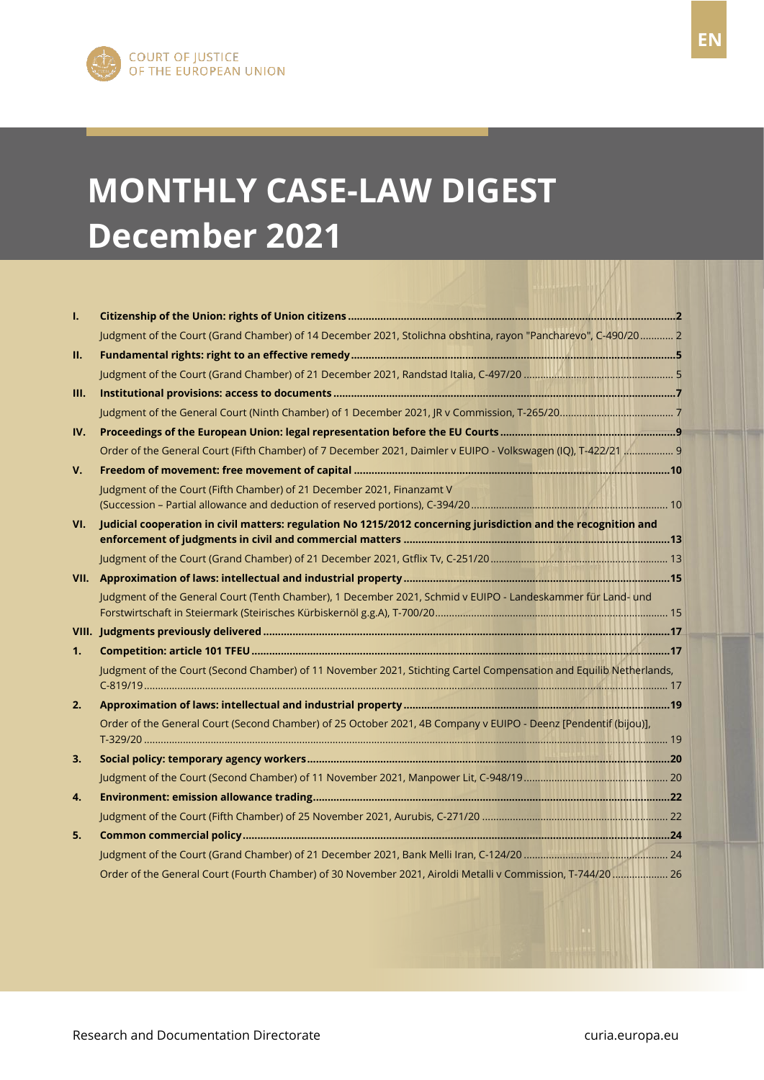# **MONTHLY CASE-LAW DIGEST December 2021**

| I.             |                                                                                                                    |  |
|----------------|--------------------------------------------------------------------------------------------------------------------|--|
|                | Judgment of the Court (Grand Chamber) of 14 December 2021, Stolichna obshtina, rayon "Pancharevo", C-490/20 2      |  |
| П.             |                                                                                                                    |  |
|                |                                                                                                                    |  |
| Ш.             |                                                                                                                    |  |
|                |                                                                                                                    |  |
| IV.            |                                                                                                                    |  |
|                | Order of the General Court (Fifth Chamber) of 7 December 2021, Daimler v EUIPO - Volkswagen (IQ), T-422/21  9      |  |
| V.             |                                                                                                                    |  |
|                | Judgment of the Court (Fifth Chamber) of 21 December 2021, Finanzamt V                                             |  |
|                |                                                                                                                    |  |
| VI.            | Judicial cooperation in civil matters: regulation No 1215/2012 concerning jurisdiction and the recognition and     |  |
|                |                                                                                                                    |  |
|                |                                                                                                                    |  |
|                |                                                                                                                    |  |
|                | Judgment of the General Court (Tenth Chamber), 1 December 2021, Schmid v EUIPO - Landeskammer für Land- und        |  |
|                |                                                                                                                    |  |
| 1 <sub>1</sub> |                                                                                                                    |  |
|                | Judgment of the Court (Second Chamber) of 11 November 2021, Stichting Cartel Compensation and Equilib Netherlands, |  |
|                |                                                                                                                    |  |
| 2.             |                                                                                                                    |  |
|                |                                                                                                                    |  |
|                | Order of the General Court (Second Chamber) of 25 October 2021, 4B Company v EUIPO - Deenz [Pendentif (bijou)],    |  |
|                |                                                                                                                    |  |
| 3.             |                                                                                                                    |  |
|                |                                                                                                                    |  |
| 4.             |                                                                                                                    |  |
|                |                                                                                                                    |  |
| 5.             |                                                                                                                    |  |
|                |                                                                                                                    |  |
|                | Order of the General Court (Fourth Chamber) of 30 November 2021, Airoldi Metalli v Commission, T-744/20  26        |  |

Research and Documentation Directorate curia.europa.eu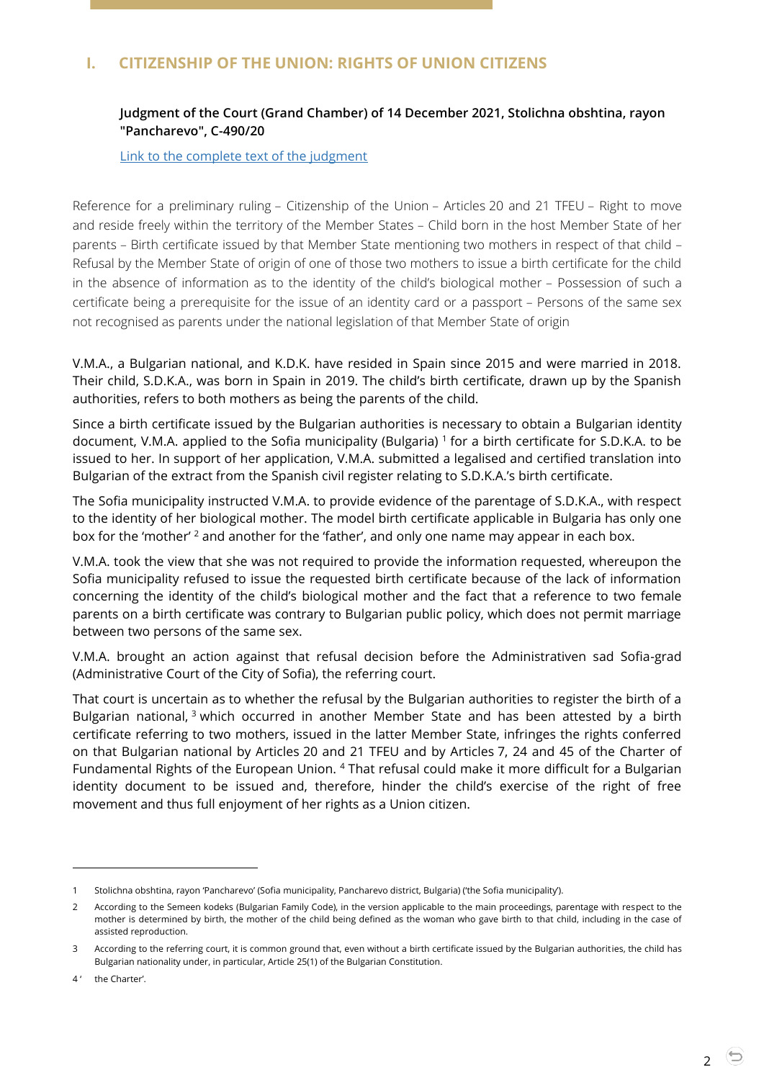# <span id="page-1-1"></span><span id="page-1-0"></span>**I. CITIZENSHIP OF THE UNION: RIGHTS OF UNION CITIZENS**

## **Judgment of the Court (Grand Chamber) of 14 December 2021, Stolichna obshtina, rayon "Pancharevo", C-490/20**

[Link to the complete text of the judgment](https://curia.europa.eu/juris/document/document.jsf?text=&docid=251201&pageIndex=0&doclang=EN&mode=lst&dir=&occ=first&part=1&cid=5168501)

Reference for a preliminary ruling – Citizenship of the Union – Articles 20 and 21 TFEU – Right to move and reside freely within the territory of the Member States – Child born in the host Member State of her parents – Birth certificate issued by that Member State mentioning two mothers in respect of that child – Refusal by the Member State of origin of one of those two mothers to issue a birth certificate for the child in the absence of information as to the identity of the child's biological mother – Possession of such a certificate being a prerequisite for the issue of an identity card or a passport – Persons of the same sex not recognised as parents under the national legislation of that Member State of origin

V.M.A., a Bulgarian national, and K.D.K. have resided in Spain since 2015 and were married in 2018. Their child, S.D.K.A., was born in Spain in 2019. The child's birth certificate, drawn up by the Spanish authorities, refers to both mothers as being the parents of the child.

Since a birth certificate issued by the Bulgarian authorities is necessary to obtain a Bulgarian identity document, V.M.A. applied to the Sofia municipality (Bulgaria) <sup>1</sup> for a birth certificate for S.D.K.A. to be issued to her. In support of her application, V.М.А. submitted a legalised and certified translation into Bulgarian of the extract from the Spanish civil register relating to S.D.K.A.'s birth certificate.

The Sofia municipality instructed V.М.А. to provide evidence of the parentage of S.D.K.A., with respect to the identity of her biological mother. The model birth certificate applicable in Bulgaria has only one box for the 'mother'  $2$  and another for the 'father', and only one name may appear in each box.

V.М.А. took the view that she was not required to provide the information requested, whereupon the Sofia municipality refused to issue the requested birth certificate because of the lack of information concerning the identity of the child's biological mother and the fact that a reference to two female parents on a birth certificate was contrary to Bulgarian public policy, which does not permit marriage between two persons of the same sex.

V.M.A. brought an action against that refusal decision before the Administrativen sad Sofia-grad (Administrative Court of the City of Sofia), the referring court.

That court is uncertain as to whether the refusal by the Bulgarian authorities to register the birth of a Bulgarian national,  $3$  which occurred in another Member State and has been attested by a birth certificate referring to two mothers, issued in the latter Member State, infringes the rights conferred on that Bulgarian national by Articles 20 and 21 TFEU and by Articles 7, 24 and 45 of the Charter of Fundamental Rights of the European Union. <sup>4</sup> That refusal could make it more difficult for a Bulgarian identity document to be issued and, therefore, hinder the child's exercise of the right of free movement and thus full enjoyment of her rights as a Union citizen.

<sup>1</sup> Stolichna obshtina, rayon 'Pancharevo' (Sofia municipality, Pancharevo district, Bulgaria) ('the Sofia municipality').

<sup>2</sup> According to the Semeen kodeks (Bulgarian Family Code), in the version applicable to the main proceedings, parentage with respect to the mother is determined by birth, the mother of the child being defined as the woman who gave birth to that child, including in the case of assisted reproduction.

<sup>3</sup> According to the referring court, it is common ground that, even without a birth certificate issued by the Bulgarian authorities, the child has Bulgarian nationality under, in particular, Article 25(1) of the Bulgarian Constitution.

<sup>4&#</sup>x27; the Charter'.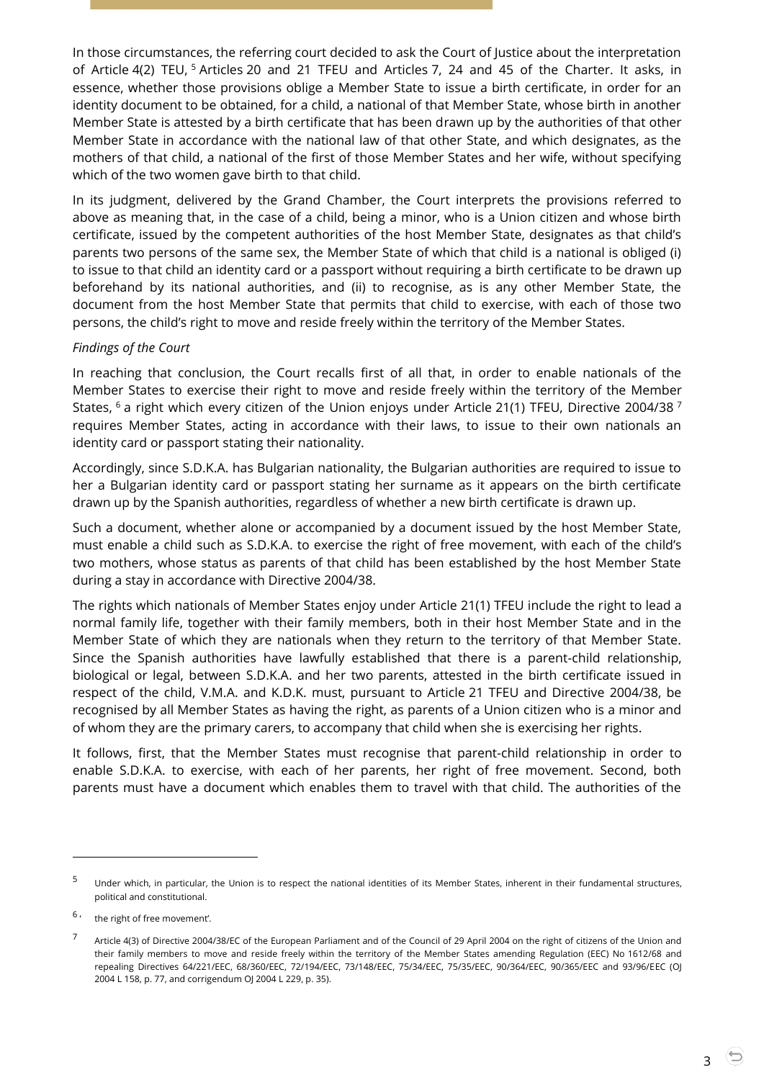In those circumstances, the referring court decided to ask the Court of Justice about the interpretation of Article 4(2) TEU, <sup>5</sup> Articles 20 and 21 TFEU and Articles 7, 24 and 45 of the Charter. It asks, in essence, whether those provisions oblige a Member State to issue a birth certificate, in order for an identity document to be obtained, for a child, a national of that Member State, whose birth in another Member State is attested by a birth certificate that has been drawn up by the authorities of that other Member State in accordance with the national law of that other State, and which designates, as the mothers of that child, a national of the first of those Member States and her wife, without specifying which of the two women gave birth to that child.

In its judgment, delivered by the Grand Chamber, the Court interprets the provisions referred to above as meaning that, in the case of a child, being a minor, who is a Union citizen and whose birth certificate, issued by the competent authorities of the host Member State, designates as that child's parents two persons of the same sex, the Member State of which that child is a national is obliged (i) to issue to that child an identity card or a passport without requiring a birth certificate to be drawn up beforehand by its national authorities, and (ii) to recognise, as is any other Member State, the document from the host Member State that permits that child to exercise, with each of those two persons, the child's right to move and reside freely within the territory of the Member States.

#### *Findings of the Court*

In reaching that conclusion, the Court recalls first of all that, in order to enable nationals of the Member States to exercise their right to move and reside freely within the territory of the Member States,  $6$  a right which every citizen of the Union enjoys under Article 21(1) TFEU, Directive 2004/38  $^7$ requires Member States, acting in accordance with their laws, to issue to their own nationals an identity card or passport stating their nationality.

Accordingly, since S.D.K.A. has Bulgarian nationality, the Bulgarian authorities are required to issue to her a Bulgarian identity card or passport stating her surname as it appears on the birth certificate drawn up by the Spanish authorities, regardless of whether a new birth certificate is drawn up.

Such a document, whether alone or accompanied by a document issued by the host Member State, must enable a child such as S.D.K.A. to exercise the right of free movement, with each of the child's two mothers, whose status as parents of that child has been established by the host Member State during a stay in accordance with Directive 2004/38.

The rights which nationals of Member States enjoy under Article 21(1) TFEU include the right to lead a normal family life, together with their family members, both in their host Member State and in the Member State of which they are nationals when they return to the territory of that Member State. Since the Spanish authorities have lawfully established that there is a parent-child relationship, biological or legal, between S.D.K.A. and her two parents, attested in the birth certificate issued in respect of the child, V.M.A. and K.D.K. must, pursuant to Article 21 TFEU and Directive 2004/38, be recognised by all Member States as having the right, as parents of a Union citizen who is a minor and of whom they are the primary carers, to accompany that child when she is exercising her rights.

It follows, first, that the Member States must recognise that parent-child relationship in order to enable S.D.K.A. to exercise, with each of her parents, her right of free movement. Second, both parents must have a document which enables them to travel with that child. The authorities of the

<sup>&</sup>lt;sup>5</sup> Under which, in particular, the Union is to respect the national identities of its Member States, inherent in their fundamental structures, political and constitutional.

<sup>6</sup> the right of free movement'.

<sup>7</sup> Article 4(3) of Directive 2004/38/EC of the European Parliament and of the Council of 29 April 2004 on the right of citizens of the Union and their family members to move and reside freely within the territory of the Member States amending Regulation (EEC) No 1612/68 and repealing Directives 64/221/EEC, 68/360/EEC, 72/194/EEC, 73/148/EEC, 75/34/EEC, 75/35/EEC, 90/364/EEC, 90/365/EEC and 93/96/EEC (OJ 2004 L 158, p. 77, and corrigendum OJ 2004 L 229, p. 35).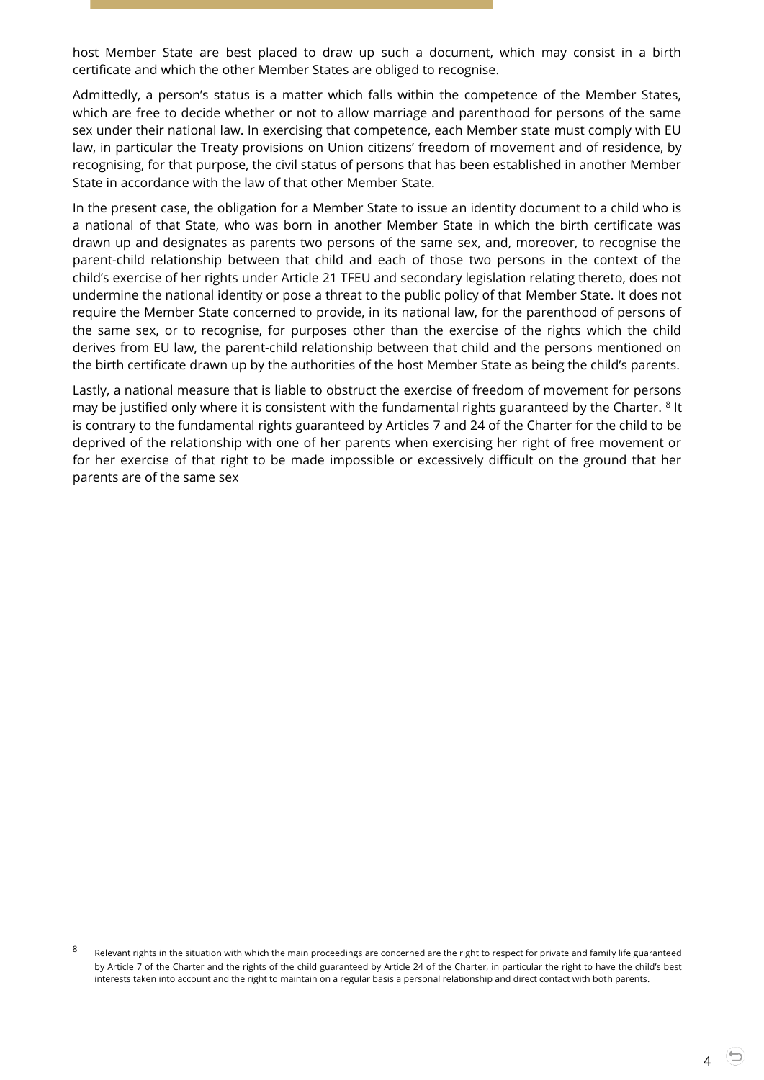host Member State are best placed to draw up such a document, which may consist in a birth certificate and which the other Member States are obliged to recognise.

Admittedly, a person's status is a matter which falls within the competence of the Member States, which are free to decide whether or not to allow marriage and parenthood for persons of the same sex under their national law. In exercising that competence, each Member state must comply with EU law, in particular the Treaty provisions on Union citizens' freedom of movement and of residence, by recognising, for that purpose, the civil status of persons that has been established in another Member State in accordance with the law of that other Member State.

In the present case, the obligation for a Member State to issue an identity document to a child who is a national of that State, who was born in another Member State in which the birth certificate was drawn up and designates as parents two persons of the same sex, and, moreover, to recognise the parent-child relationship between that child and each of those two persons in the context of the child's exercise of her rights under Article 21 TFEU and secondary legislation relating thereto, does not undermine the national identity or pose a threat to the public policy of that Member State. It does not require the Member State concerned to provide, in its national law, for the parenthood of persons of the same sex, or to recognise, for purposes other than the exercise of the rights which the child derives from EU law, the parent-child relationship between that child and the persons mentioned on the birth certificate drawn up by the authorities of the host Member State as being the child's parents.

Lastly, a national measure that is liable to obstruct the exercise of freedom of movement for persons may be justified only where it is consistent with the fundamental rights guaranteed by the Charter.  $8$  It is contrary to the fundamental rights guaranteed by Articles 7 and 24 of the Charter for the child to be deprived of the relationship with one of her parents when exercising her right of free movement or for her exercise of that right to be made impossible or excessively difficult on the ground that her parents are of the same sex

<sup>8</sup> Relevant rights in the situation with which the main proceedings are concerned are the right to respect for private and family life guaranteed by Article 7 of the Charter and the rights of the child guaranteed by Article 24 of the Charter, in particular the right to have the child's best interests taken into account and the right to maintain on a regular basis a personal relationship and direct contact with both parents.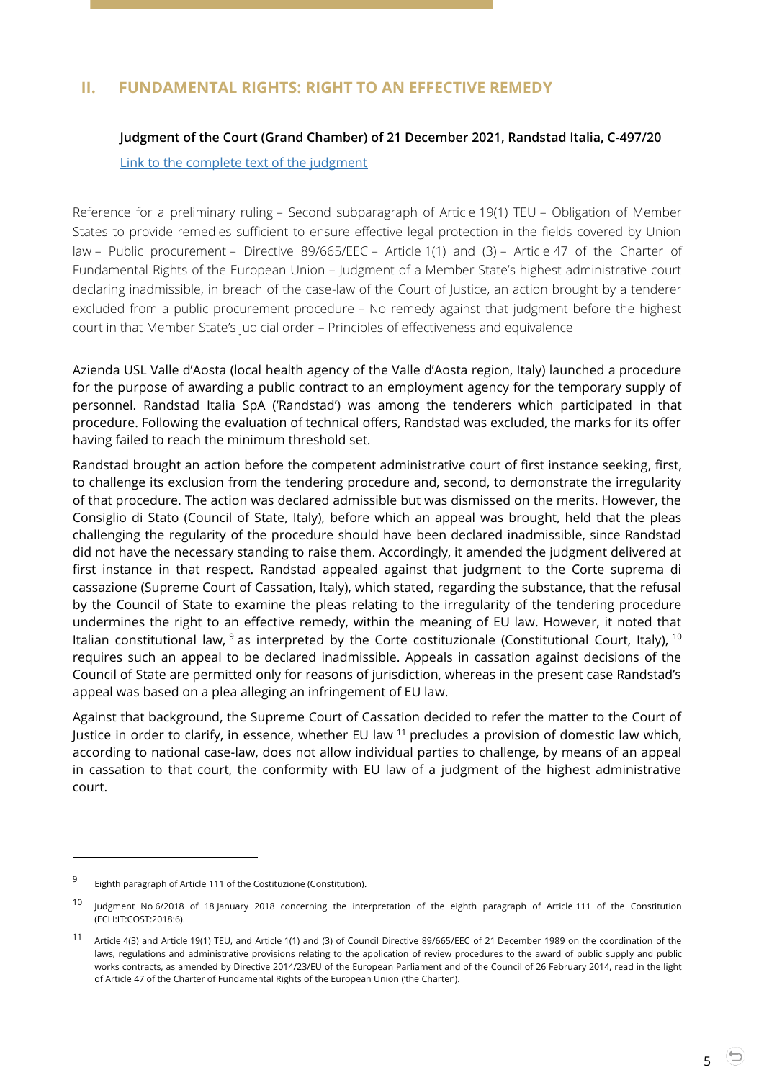# <span id="page-4-1"></span><span id="page-4-0"></span>**II. FUNDAMENTAL RIGHTS: RIGHT TO AN EFFECTIVE REMEDY**

#### **Judgment of the Court (Grand Chamber) of 21 December 2021, Randstad Italia, C-497/20**

[Link to the complete text of the judgment](https://curia.europa.eu/juris/document/document.jsf?text=&docid=251515&pageIndex=0&doclang=EN&mode=req&dir=&occ=first&part=1&cid=264724)

Reference for a preliminary ruling – Second subparagraph of Article 19(1) TEU – Obligation of Member States to provide remedies sufficient to ensure effective legal protection in the fields covered by Union law – Public procurement – Directive 89/665/EEC – Article 1(1) and (3) – Article 47 of the Charter of Fundamental Rights of the European Union – Judgment of a Member State's highest administrative court declaring inadmissible, in breach of the case-law of the Court of Justice, an action brought by a tenderer excluded from a public procurement procedure – No remedy against that judgment before the highest court in that Member State's judicial order – Principles of effectiveness and equivalence

Azienda USL Valle d'Aosta (local health agency of the Valle d'Aosta region, Italy) launched a procedure for the purpose of awarding a public contract to an employment agency for the temporary supply of personnel. Randstad Italia SpA ('Randstad') was among the tenderers which participated in that procedure. Following the evaluation of technical offers, Randstad was excluded, the marks for its offer having failed to reach the minimum threshold set.

Randstad brought an action before the competent administrative court of first instance seeking, first, to challenge its exclusion from the tendering procedure and, second, to demonstrate the irregularity of that procedure. The action was declared admissible but was dismissed on the merits. However, the Consiglio di Stato (Council of State, Italy), before which an appeal was brought, held that the pleas challenging the regularity of the procedure should have been declared inadmissible, since Randstad did not have the necessary standing to raise them. Accordingly, it amended the judgment delivered at first instance in that respect. Randstad appealed against that judgment to the Corte suprema di cassazione (Supreme Court of Cassation, Italy), which stated, regarding the substance, that the refusal by the Council of State to examine the pleas relating to the irregularity of the tendering procedure undermines the right to an effective remedy, within the meaning of EU law. However, it noted that Italian constitutional law,  $9$  as interpreted by the Corte costituzionale (Constitutional Court, Italy),  $10$ requires such an appeal to be declared inadmissible. Appeals in cassation against decisions of the Council of State are permitted only for reasons of jurisdiction, whereas in the present case Randstad's appeal was based on a plea alleging an infringement of EU law.

Against that background, the Supreme Court of Cassation decided to refer the matter to the Court of Justice in order to clarify, in essence, whether EU law <sup>11</sup> precludes a provision of domestic law which, according to national case-law, does not allow individual parties to challenge, by means of an appeal in cassation to that court, the conformity with EU law of a judgment of the highest administrative court.

 $\overline{a}$ 

5

<sup>9</sup> Eighth paragraph of Article 111 of the Costituzione (Constitution).

<sup>&</sup>lt;sup>10</sup> Judgment No 6/2018 of 18 January 2018 concerning the interpretation of the eighth paragraph of Article 111 of the Constitution (ECLI:IT:COST:2018:6).

<sup>11</sup> Article 4(3) and Article 19(1) TEU, and Article 1(1) and (3) of Council Directive 89/665/EEC of 21 December 1989 on the coordination of the laws, regulations and administrative provisions relating to the application of review procedures to the award of public supply and public works contracts, as amended by Directive 2014/23/EU of the European Parliament and of the Council of 26 February 2014, read in the light of Article 47 of the Charter of Fundamental Rights of the European Union ('the Charter').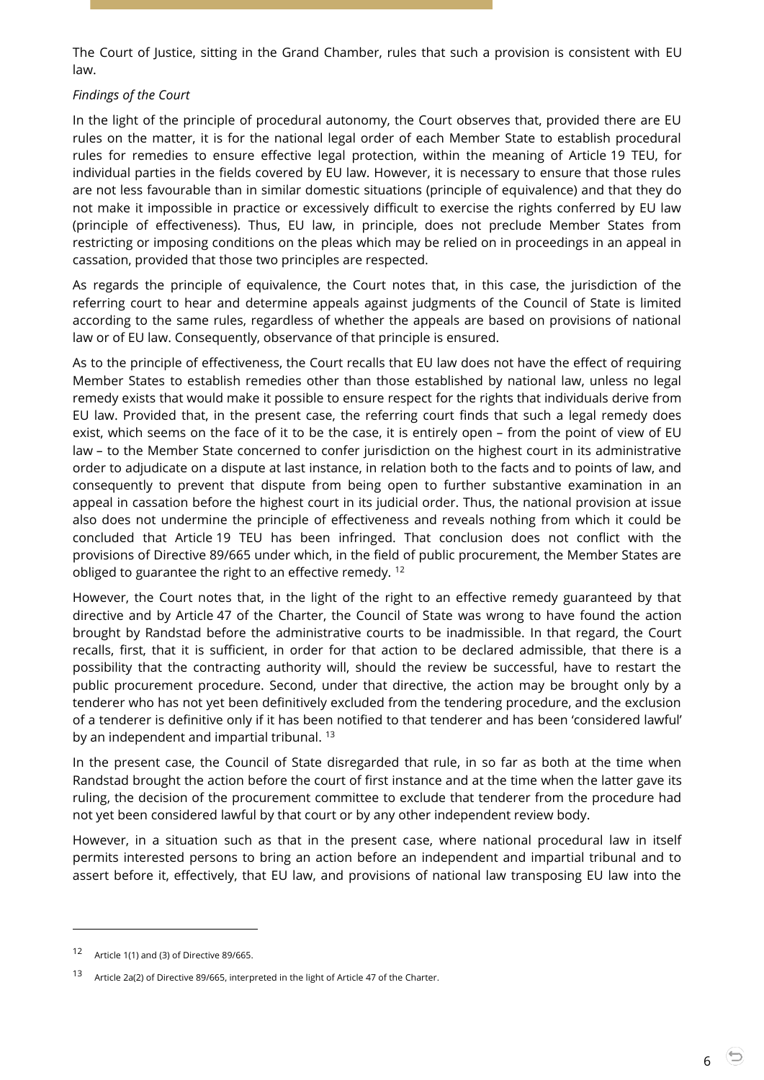The Court of Justice, sitting in the Grand Chamber, rules that such a provision is consistent with EU law.

### *Findings of the Court*

In the light of the principle of procedural autonomy, the Court observes that, provided there are EU rules on the matter, it is for the national legal order of each Member State to establish procedural rules for remedies to ensure effective legal protection, within the meaning of Article 19 TEU, for individual parties in the fields covered by EU law. However, it is necessary to ensure that those rules are not less favourable than in similar domestic situations (principle of equivalence) and that they do not make it impossible in practice or excessively difficult to exercise the rights conferred by EU law (principle of effectiveness). Thus, EU law, in principle, does not preclude Member States from restricting or imposing conditions on the pleas which may be relied on in proceedings in an appeal in cassation, provided that those two principles are respected.

As regards the principle of equivalence, the Court notes that, in this case, the jurisdiction of the referring court to hear and determine appeals against judgments of the Council of State is limited according to the same rules, regardless of whether the appeals are based on provisions of national law or of EU law. Consequently, observance of that principle is ensured.

As to the principle of effectiveness, the Court recalls that EU law does not have the effect of requiring Member States to establish remedies other than those established by national law, unless no legal remedy exists that would make it possible to ensure respect for the rights that individuals derive from EU law. Provided that, in the present case, the referring court finds that such a legal remedy does exist, which seems on the face of it to be the case, it is entirely open – from the point of view of EU law – to the Member State concerned to confer jurisdiction on the highest court in its administrative order to adjudicate on a dispute at last instance, in relation both to the facts and to points of law, and consequently to prevent that dispute from being open to further substantive examination in an appeal in cassation before the highest court in its judicial order. Thus, the national provision at issue also does not undermine the principle of effectiveness and reveals nothing from which it could be concluded that Article 19 TEU has been infringed. That conclusion does not conflict with the provisions of Directive 89/665 under which, in the field of public procurement, the Member States are obliged to guarantee the right to an effective remedy. <sup>12</sup>

However, the Court notes that, in the light of the right to an effective remedy guaranteed by that directive and by Article 47 of the Charter, the Council of State was wrong to have found the action brought by Randstad before the administrative courts to be inadmissible. In that regard, the Court recalls, first, that it is sufficient, in order for that action to be declared admissible, that there is a possibility that the contracting authority will, should the review be successful, have to restart the public procurement procedure. Second, under that directive, the action may be brought only by a tenderer who has not yet been definitively excluded from the tendering procedure, and the exclusion of a tenderer is definitive only if it has been notified to that tenderer and has been 'considered lawful' by an independent and impartial tribunal.<sup>13</sup>

In the present case, the Council of State disregarded that rule, in so far as both at the time when Randstad brought the action before the court of first instance and at the time when the latter gave its ruling, the decision of the procurement committee to exclude that tenderer from the procedure had not yet been considered lawful by that court or by any other independent review body.

However, in a situation such as that in the present case, where national procedural law in itself permits interested persons to bring an action before an independent and impartial tribunal and to assert before it, effectively, that EU law, and provisions of national law transposing EU law into the

<sup>12</sup> Article 1(1) and (3) of Directive 89/665.

<sup>13</sup> Article 2a(2) of Directive 89/665, interpreted in the light of Article 47 of the Charter.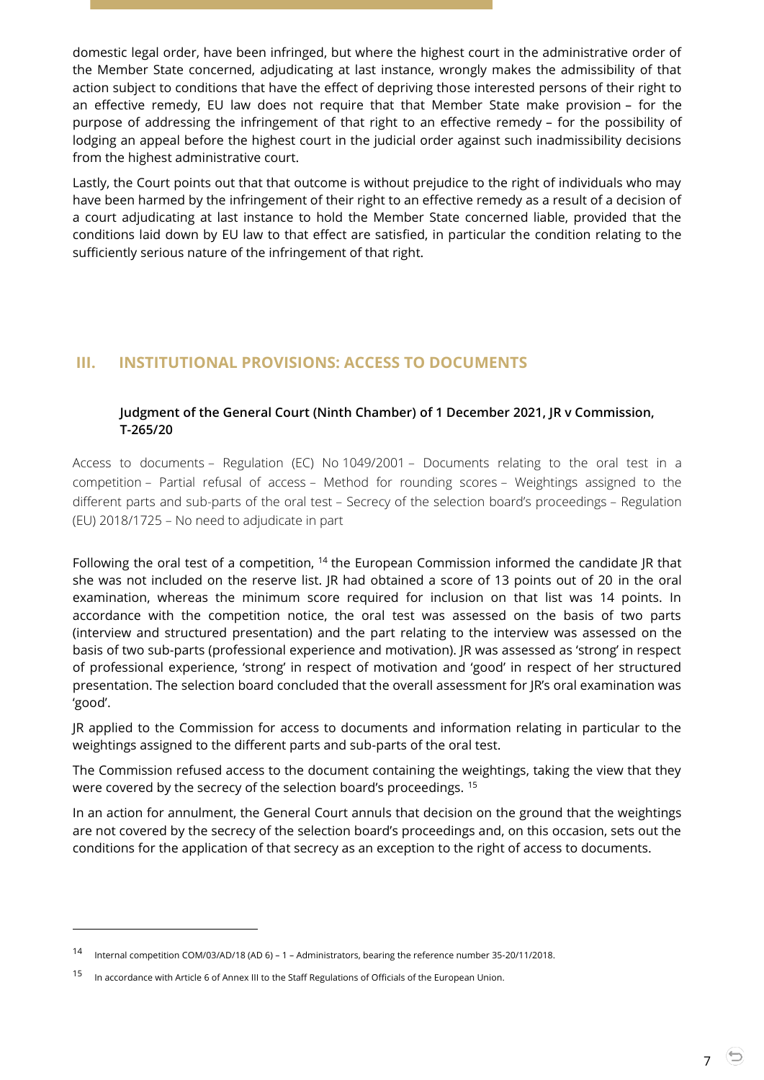domestic legal order, have been infringed, but where the highest court in the administrative order of the Member State concerned, adjudicating at last instance, wrongly makes the admissibility of that action subject to conditions that have the effect of depriving those interested persons of their right to an effective remedy, EU law does not require that that Member State make provision – for the purpose of addressing the infringement of that right to an effective remedy – for the possibility of lodging an appeal before the highest court in the judicial order against such inadmissibility decisions from the highest administrative court.

Lastly, the Court points out that that outcome is without prejudice to the right of individuals who may have been harmed by the infringement of their right to an effective remedy as a result of a decision of a court adjudicating at last instance to hold the Member State concerned liable, provided that the conditions laid down by EU law to that effect are satisfied, in particular the condition relating to the sufficiently serious nature of the infringement of that right.

# <span id="page-6-0"></span>**III. INSTITUTIONAL PROVISIONS: ACCESS TO DOCUMENTS**

## <span id="page-6-1"></span>**Judgment of the General Court (Ninth Chamber) of 1 December 2021, JR v Commission, T-265/20**

Access to documents – Regulation (EC) No 1049/2001 – Documents relating to the oral test in a competition – Partial refusal of access – Method for rounding scores – Weightings assigned to the different parts and sub-parts of the oral test – Secrecy of the selection board's proceedings – Regulation (EU) 2018/1725 – No need to adjudicate in part

Following the oral test of a competition,  $14$  the European Commission informed the candidate JR that she was not included on the reserve list. JR had obtained a score of 13 points out of 20 in the oral examination, whereas the minimum score required for inclusion on that list was 14 points. In accordance with the competition notice, the oral test was assessed on the basis of two parts (interview and structured presentation) and the part relating to the interview was assessed on the basis of two sub-parts (professional experience and motivation). JR was assessed as 'strong' in respect of professional experience, 'strong' in respect of motivation and 'good' in respect of her structured presentation. The selection board concluded that the overall assessment for JR's oral examination was 'good'.

JR applied to the Commission for access to documents and information relating in particular to the weightings assigned to the different parts and sub-parts of the oral test.

The Commission refused access to the document containing the weightings, taking the view that they were covered by the secrecy of the selection board's proceedings. <sup>15</sup>

In an action for annulment, the General Court annuls that decision on the ground that the weightings are not covered by the secrecy of the selection board's proceedings and, on this occasion, sets out the conditions for the application of that secrecy as an exception to the right of access to documents.

<sup>14</sup> Internal competition COM/03/AD/18 (AD 6) – <sup>1</sup> – Administrators, bearing the reference number 35-20/11/2018.

<sup>15</sup> In accordance with Article 6 of Annex III to the Staff Regulations of Officials of the European Union.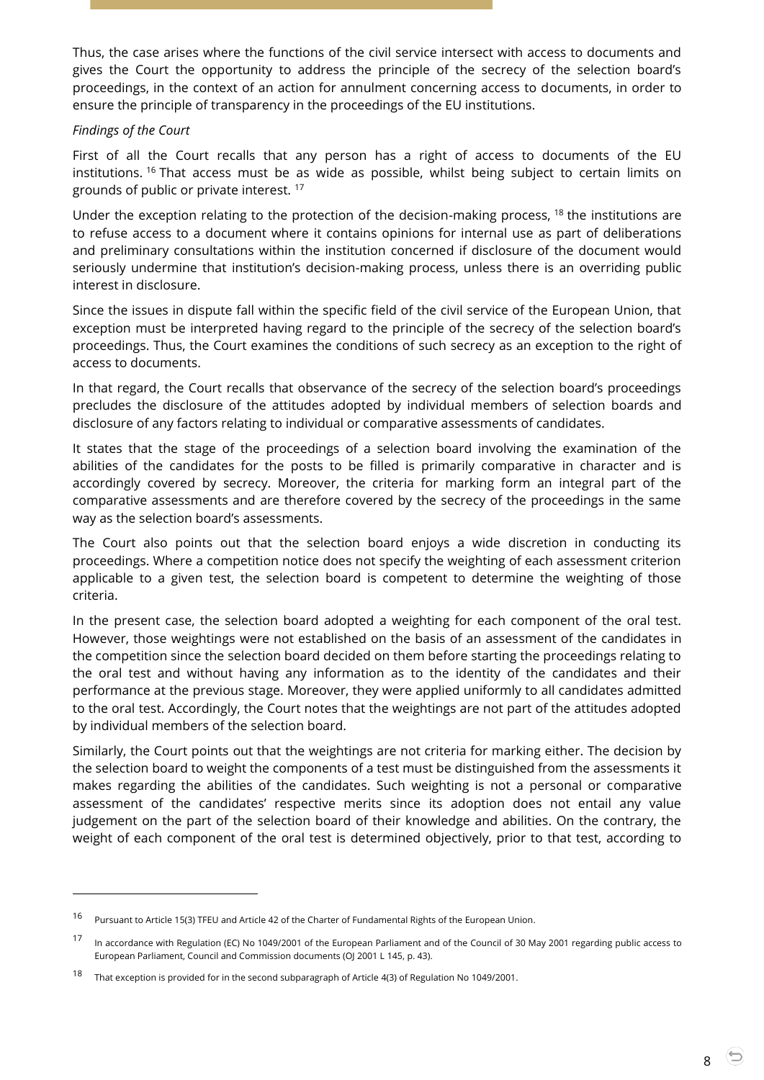Thus, the case arises where the functions of the civil service intersect with access to documents and gives the Court the opportunity to address the principle of the secrecy of the selection board's proceedings, in the context of an action for annulment concerning access to documents, in order to ensure the principle of transparency in the proceedings of the EU institutions.

#### *Findings of the Court*

 $\overline{a}$ 

First of all the Court recalls that any person has a right of access to documents of the EU institutions. <sup>16</sup> That access must be as wide as possible, whilst being subject to certain limits on grounds of public or private interest. <sup>17</sup>

Under the exception relating to the protection of the decision-making process, <sup>18</sup> the institutions are to refuse access to a document where it contains opinions for internal use as part of deliberations and preliminary consultations within the institution concerned if disclosure of the document would seriously undermine that institution's decision-making process, unless there is an overriding public interest in disclosure.

Since the issues in dispute fall within the specific field of the civil service of the European Union, that exception must be interpreted having regard to the principle of the secrecy of the selection board's proceedings. Thus, the Court examines the conditions of such secrecy as an exception to the right of access to documents.

In that regard, the Court recalls that observance of the secrecy of the selection board's proceedings precludes the disclosure of the attitudes adopted by individual members of selection boards and disclosure of any factors relating to individual or comparative assessments of candidates.

It states that the stage of the proceedings of a selection board involving the examination of the abilities of the candidates for the posts to be filled is primarily comparative in character and is accordingly covered by secrecy. Moreover, the criteria for marking form an integral part of the comparative assessments and are therefore covered by the secrecy of the proceedings in the same way as the selection board's assessments.

The Court also points out that the selection board enjoys a wide discretion in conducting its proceedings. Where a competition notice does not specify the weighting of each assessment criterion applicable to a given test, the selection board is competent to determine the weighting of those criteria.

In the present case, the selection board adopted a weighting for each component of the oral test. However, those weightings were not established on the basis of an assessment of the candidates in the competition since the selection board decided on them before starting the proceedings relating to the oral test and without having any information as to the identity of the candidates and their performance at the previous stage. Moreover, they were applied uniformly to all candidates admitted to the oral test. Accordingly, the Court notes that the weightings are not part of the attitudes adopted by individual members of the selection board.

Similarly, the Court points out that the weightings are not criteria for marking either. The decision by the selection board to weight the components of a test must be distinguished from the assessments it makes regarding the abilities of the candidates. Such weighting is not a personal or comparative assessment of the candidates' respective merits since its adoption does not entail any value judgement on the part of the selection board of their knowledge and abilities. On the contrary, the weight of each component of the oral test is determined objectively, prior to that test, according to

<sup>16</sup> Pursuant to Article 15(3) TFEU and Article 42 of the Charter of Fundamental Rights of the European Union.

<sup>&</sup>lt;sup>17</sup> In accordance with Regulation (EC) No 1049/2001 of the European Parliament and of the Council of 30 May 2001 regarding public access to European Parliament, Council and Commission documents (OJ 2001 L 145, p. 43).

<sup>18</sup> That exception is provided for in the second subparagraph of Article 4(3) of Regulation No 1049/2001.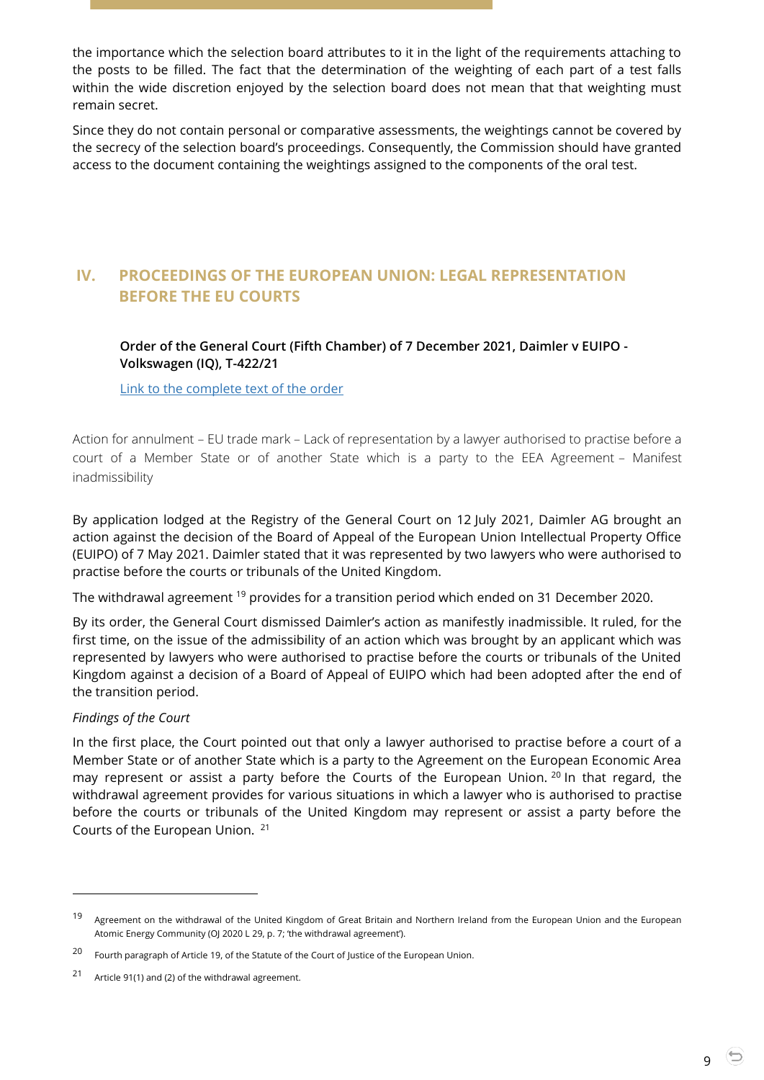the importance which the selection board attributes to it in the light of the requirements attaching to the posts to be filled. The fact that the determination of the weighting of each part of a test falls within the wide discretion enjoyed by the selection board does not mean that that weighting must remain secret.

Since they do not contain personal or comparative assessments, the weightings cannot be covered by the secrecy of the selection board's proceedings. Consequently, the Commission should have granted access to the document containing the weightings assigned to the components of the oral test.

# <span id="page-8-0"></span>**IV. PROCEEDINGS OF THE EUROPEAN UNION: LEGAL REPRESENTATION BEFORE THE EU COURTS**

<span id="page-8-1"></span>**Order of the General Court (Fifth Chamber) of 7 December 2021, Daimler v EUIPO - Volkswagen (IQ), T-422/21**

[Link to the complete text of the order](https://curia.europa.eu/juris/document/document.jsf?text=&docid=251141&pageIndex=0&doclang=EN&mode=lst&dir=&occ=first&part=1&cid=5186944)

Action for annulment – EU trade mark – Lack of representation by a lawyer authorised to practise before a court of a Member State or of another State which is a party to the EEA Agreement – Manifest inadmissibility

By application lodged at the Registry of the General Court on 12 July 2021, Daimler AG brought an action against the decision of the Board of Appeal of the European Union Intellectual Property Office (EUIPO) of 7 May 2021. Daimler stated that it was represented by two lawyers who were authorised to practise before the courts or tribunals of the United Kingdom.

The withdrawal agreement <sup>19</sup> provides for a transition period which ended on 31 December 2020.

By its order, the General Court dismissed Daimler's action as manifestly inadmissible. It ruled, for the first time, on the issue of the admissibility of an action which was brought by an applicant which was represented by lawyers who were authorised to practise before the courts or tribunals of the United Kingdom against a decision of a Board of Appeal of EUIPO which had been adopted after the end of the transition period.

#### *Findings of the Court*

 $\overline{a}$ 

In the first place, the Court pointed out that only a lawyer authorised to practise before a court of a Member State or of another State which is a party to the Agreement on the European Economic Area may represent or assist a party before the Courts of the European Union. <sup>20</sup> In that regard, the withdrawal agreement provides for various situations in which a lawyer who is authorised to practise before the courts or tribunals of the United Kingdom may represent or assist a party before the Courts of the European Union. <sup>21</sup>

<sup>&</sup>lt;sup>19</sup> Agreement on the withdrawal of the United Kingdom of Great Britain and Northern Ireland from the European Union and the European Atomic Energy Community (OJ 2020 L 29, p. 7; 'the withdrawal agreement').

<sup>20</sup> Fourth paragraph of Article 19, of the Statute of the Court of Justice of the European Union.

<sup>21</sup> Article 91(1) and (2) of the withdrawal agreement.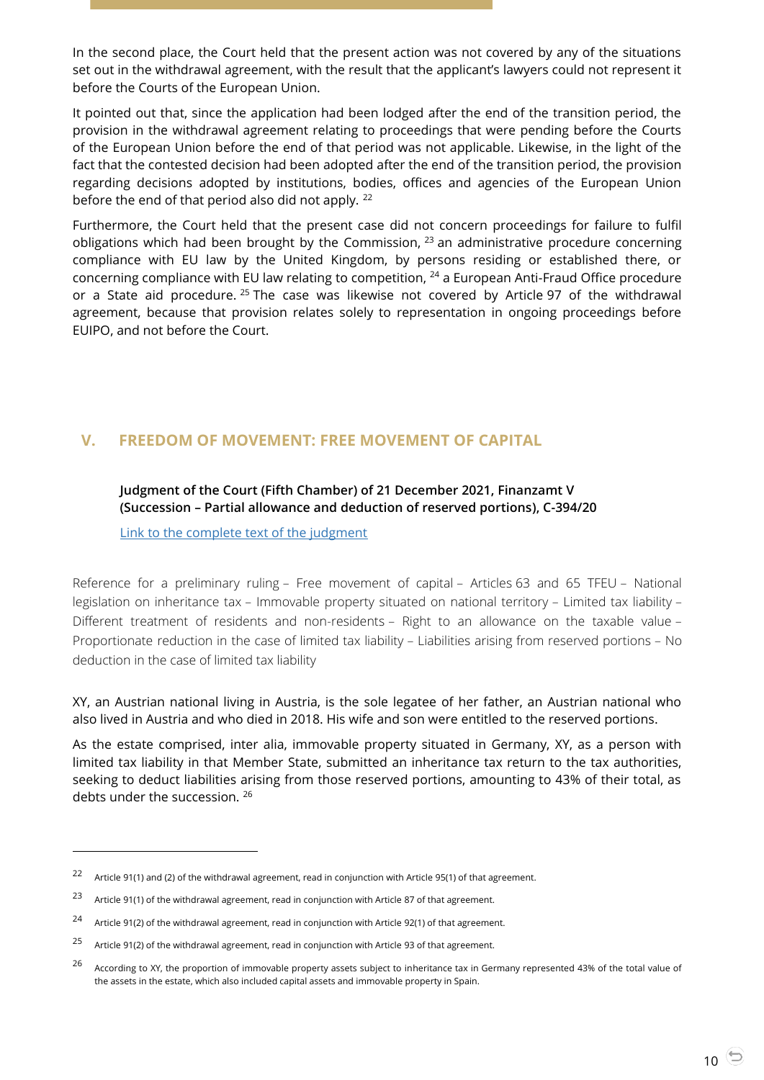In the second place, the Court held that the present action was not covered by any of the situations set out in the withdrawal agreement, with the result that the applicant's lawyers could not represent it before the Courts of the European Union.

It pointed out that, since the application had been lodged after the end of the transition period, the provision in the withdrawal agreement relating to proceedings that were pending before the Courts of the European Union before the end of that period was not applicable. Likewise, in the light of the fact that the contested decision had been adopted after the end of the transition period, the provision regarding decisions adopted by institutions, bodies, offices and agencies of the European Union before the end of that period also did not apply. <sup>22</sup>

Furthermore, the Court held that the present case did not concern proceedings for failure to fulfil obligations which had been brought by the Commission,  $23$  an administrative procedure concerning compliance with EU law by the United Kingdom, by persons residing or established there, or concerning compliance with EU law relating to competition, <sup>24</sup> a European Anti-Fraud Office procedure or a State aid procedure. <sup>25</sup> The case was likewise not covered by Article 97 of the withdrawal agreement, because that provision relates solely to representation in ongoing proceedings before EUIPO, and not before the Court.

# <span id="page-9-1"></span><span id="page-9-0"></span>**V. FREEDOM OF MOVEMENT: FREE MOVEMENT OF CAPITAL**

#### **Judgment of the Court (Fifth Chamber) of 21 December 2021, Finanzamt V (Succession – Partial allowance and deduction of reserved portions), C-394/20**

[Link to the complete text of the judgment](https://curia.europa.eu/juris/document/document.jsf?text=&docid=251512&pageIndex=0&doclang=EN&mode=req&dir=&occ=first&part=1&cid=266000)

Reference for a preliminary ruling – Free movement of capital – Articles 63 and 65 TFEU – National legislation on inheritance tax – Immovable property situated on national territory – Limited tax liability – Different treatment of residents and non-residents – Right to an allowance on the taxable value – Proportionate reduction in the case of limited tax liability – Liabilities arising from reserved portions – No deduction in the case of limited tax liability

XY, an Austrian national living in Austria, is the sole legatee of her father, an Austrian national who also lived in Austria and who died in 2018. His wife and son were entitled to the reserved portions.

As the estate comprised, inter alia, immovable property situated in Germany, XY, as a person with limited tax liability in that Member State, submitted an inheritance tax return to the tax authorities, seeking to deduct liabilities arising from those reserved portions, amounting to 43% of their total, as debts under the succession. <sup>26</sup>

<sup>22</sup> Article 91(1) and (2) of the withdrawal agreement, read in conjunction with Article 95(1) of that agreement.

<sup>23</sup> Article 91(1) of the withdrawal agreement, read in conjunction with Article 87 of that agreement.

<sup>24</sup> Article 91(2) of the withdrawal agreement, read in conjunction with Article 92(1) of that agreement.

<sup>25</sup> Article 91(2) of the withdrawal agreement, read in conjunction with Article 93 of that agreement.

<sup>&</sup>lt;sup>26</sup> According to XY, the proportion of immovable property assets subject to inheritance tax in Germany represented 43% of the total value of the assets in the estate, which also included capital assets and immovable property in Spain.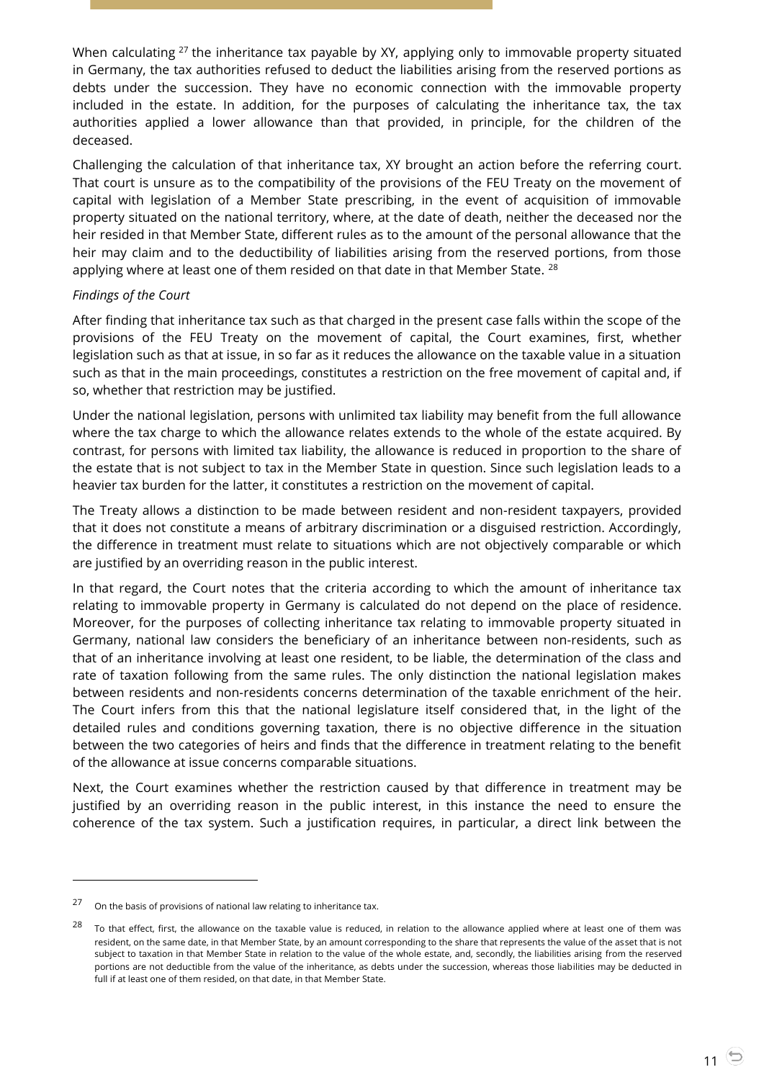When calculating <sup>27</sup> the inheritance tax payable by XY, applying only to immovable property situated in Germany, the tax authorities refused to deduct the liabilities arising from the reserved portions as debts under the succession. They have no economic connection with the immovable property included in the estate. In addition, for the purposes of calculating the inheritance tax, the tax authorities applied a lower allowance than that provided, in principle, for the children of the deceased.

Challenging the calculation of that inheritance tax, XY brought an action before the referring court. That court is unsure as to the compatibility of the provisions of the FEU Treaty on the movement of capital with legislation of a Member State prescribing, in the event of acquisition of immovable property situated on the national territory, where, at the date of death, neither the deceased nor the heir resided in that Member State, different rules as to the amount of the personal allowance that the heir may claim and to the deductibility of liabilities arising from the reserved portions, from those applying where at least one of them resided on that date in that Member State. <sup>28</sup>

#### *Findings of the Court*

After finding that inheritance tax such as that charged in the present case falls within the scope of the provisions of the FEU Treaty on the movement of capital, the Court examines, first, whether legislation such as that at issue, in so far as it reduces the allowance on the taxable value in a situation such as that in the main proceedings, constitutes a restriction on the free movement of capital and, if so, whether that restriction may be justified.

Under the national legislation, persons with unlimited tax liability may benefit from the full allowance where the tax charge to which the allowance relates extends to the whole of the estate acquired. By contrast, for persons with limited tax liability, the allowance is reduced in proportion to the share of the estate that is not subject to tax in the Member State in question. Since such legislation leads to a heavier tax burden for the latter, it constitutes a restriction on the movement of capital.

The Treaty allows a distinction to be made between resident and non-resident taxpayers, provided that it does not constitute a means of arbitrary discrimination or a disguised restriction. Accordingly, the difference in treatment must relate to situations which are not objectively comparable or which are justified by an overriding reason in the public interest.

In that regard, the Court notes that the criteria according to which the amount of inheritance tax relating to immovable property in Germany is calculated do not depend on the place of residence. Moreover, for the purposes of collecting inheritance tax relating to immovable property situated in Germany, national law considers the beneficiary of an inheritance between non-residents, such as that of an inheritance involving at least one resident, to be liable, the determination of the class and rate of taxation following from the same rules. The only distinction the national legislation makes between residents and non-residents concerns determination of the taxable enrichment of the heir. The Court infers from this that the national legislature itself considered that, in the light of the detailed rules and conditions governing taxation, there is no objective difference in the situation between the two categories of heirs and finds that the difference in treatment relating to the benefit of the allowance at issue concerns comparable situations.

Next, the Court examines whether the restriction caused by that difference in treatment may be justified by an overriding reason in the public interest, in this instance the need to ensure the coherence of the tax system. Such a justification requires, in particular, a direct link between the

<sup>27</sup> On the basis of provisions of national law relating to inheritance tax.

<sup>&</sup>lt;sup>28</sup> To that effect, first, the allowance on the taxable value is reduced, in relation to the allowance applied where at least one of them was resident, on the same date, in that Member State, by an amount corresponding to the share that represents the value of the asset that is not subject to taxation in that Member State in relation to the value of the whole estate, and, secondly, the liabilities arising from the reserved portions are not deductible from the value of the inheritance, as debts under the succession, whereas those liabilities may be deducted in full if at least one of them resided, on that date, in that Member State.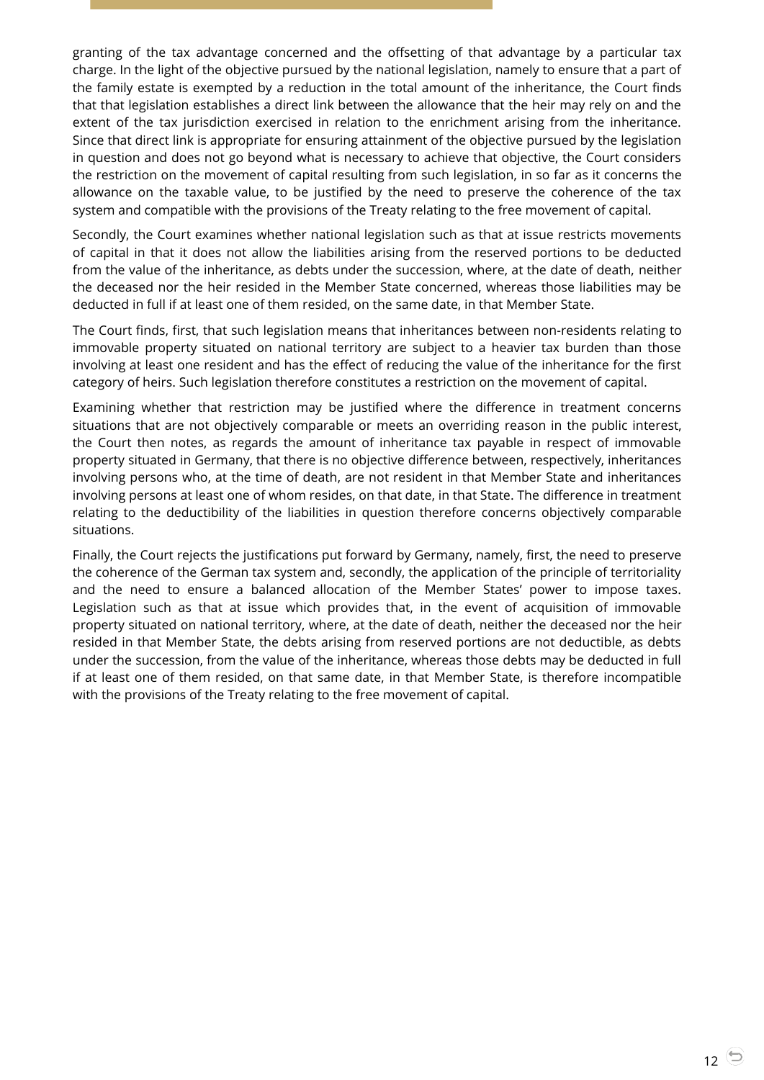granting of the tax advantage concerned and the offsetting of that advantage by a particular tax charge. In the light of the objective pursued by the national legislation, namely to ensure that a part of the family estate is exempted by a reduction in the total amount of the inheritance, the Court finds that that legislation establishes a direct link between the allowance that the heir may rely on and the extent of the tax jurisdiction exercised in relation to the enrichment arising from the inheritance. Since that direct link is appropriate for ensuring attainment of the objective pursued by the legislation in question and does not go beyond what is necessary to achieve that objective, the Court considers the restriction on the movement of capital resulting from such legislation, in so far as it concerns the allowance on the taxable value, to be justified by the need to preserve the coherence of the tax system and compatible with the provisions of the Treaty relating to the free movement of capital.

Secondly, the Court examines whether national legislation such as that at issue restricts movements of capital in that it does not allow the liabilities arising from the reserved portions to be deducted from the value of the inheritance, as debts under the succession, where, at the date of death, neither the deceased nor the heir resided in the Member State concerned, whereas those liabilities may be deducted in full if at least one of them resided, on the same date, in that Member State.

The Court finds, first, that such legislation means that inheritances between non-residents relating to immovable property situated on national territory are subject to a heavier tax burden than those involving at least one resident and has the effect of reducing the value of the inheritance for the first category of heirs. Such legislation therefore constitutes a restriction on the movement of capital.

Examining whether that restriction may be justified where the difference in treatment concerns situations that are not objectively comparable or meets an overriding reason in the public interest, the Court then notes, as regards the amount of inheritance tax payable in respect of immovable property situated in Germany, that there is no objective difference between, respectively, inheritances involving persons who, at the time of death, are not resident in that Member State and inheritances involving persons at least one of whom resides, on that date, in that State. The difference in treatment relating to the deductibility of the liabilities in question therefore concerns objectively comparable situations.

Finally, the Court rejects the justifications put forward by Germany, namely, first, the need to preserve the coherence of the German tax system and, secondly, the application of the principle of territoriality and the need to ensure a balanced allocation of the Member States' power to impose taxes. Legislation such as that at issue which provides that, in the event of acquisition of immovable property situated on national territory, where, at the date of death, neither the deceased nor the heir resided in that Member State, the debts arising from reserved portions are not deductible, as debts under the succession, from the value of the inheritance, whereas those debts may be deducted in full if at least one of them resided, on that same date, in that Member State, is therefore incompatible with the provisions of the Treaty relating to the free movement of capital.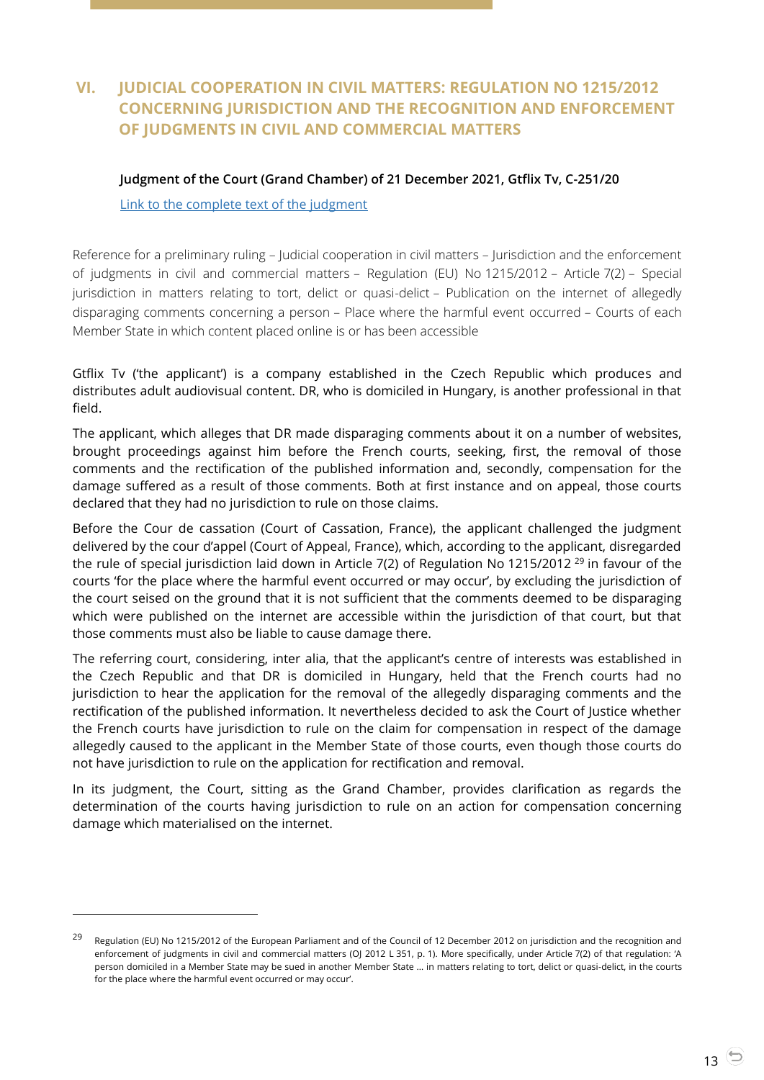# <span id="page-12-0"></span>**VI. JUDICIAL COOPERATION IN CIVIL MATTERS: REGULATION NO 1215/2012 CONCERNING JURISDICTION AND THE RECOGNITION AND ENFORCEMENT OF JUDGMENTS IN CIVIL AND COMMERCIAL MATTERS**

#### <span id="page-12-1"></span>**Judgment of the Court (Grand Chamber) of 21 December 2021, Gtflix Tv, C-251/20**

[Link to the complete text of the judgment](https://curia.europa.eu/juris/document/document.jsf?text=&docid=251510&pageIndex=0&doclang=EN&mode=req&dir=&occ=first&part=1&cid=266411)

-

Reference for a preliminary ruling – Judicial cooperation in civil matters – Jurisdiction and the enforcement of judgments in civil and commercial matters – Regulation (EU) No 1215/2012 – Article 7(2) – Special jurisdiction in matters relating to tort, delict or quasi-delict – Publication on the internet of allegedly disparaging comments concerning a person – Place where the harmful event occurred – Courts of each Member State in which content placed online is or has been accessible

Gtflix Tv ('the applicant') is a company established in the Czech Republic which produces and distributes adult audiovisual content. DR, who is domiciled in Hungary, is another professional in that field.

The applicant, which alleges that DR made disparaging comments about it on a number of websites, brought proceedings against him before the French courts, seeking, first, the removal of those comments and the rectification of the published information and, secondly, compensation for the damage suffered as a result of those comments. Both at first instance and on appeal, those courts declared that they had no jurisdiction to rule on those claims.

Before the Cour de cassation (Court of Cassation, France), the applicant challenged the judgment delivered by the cour d'appel (Court of Appeal, France), which, according to the applicant, disregarded the rule of special jurisdiction laid down in Article 7(2) of Regulation No 1215/2012<sup>29</sup> in favour of the courts 'for the place where the harmful event occurred or may occur', by excluding the jurisdiction of the court seised on the ground that it is not sufficient that the comments deemed to be disparaging which were published on the internet are accessible within the jurisdiction of that court, but that those comments must also be liable to cause damage there.

The referring court, considering, inter alia, that the applicant's centre of interests was established in the Czech Republic and that DR is domiciled in Hungary, held that the French courts had no jurisdiction to hear the application for the removal of the allegedly disparaging comments and the rectification of the published information. It nevertheless decided to ask the Court of Justice whether the French courts have jurisdiction to rule on the claim for compensation in respect of the damage allegedly caused to the applicant in the Member State of those courts, even though those courts do not have jurisdiction to rule on the application for rectification and removal.

In its judgment, the Court, sitting as the Grand Chamber, provides clarification as regards the determination of the courts having jurisdiction to rule on an action for compensation concerning damage which materialised on the internet.

<sup>&</sup>lt;sup>29</sup> Regulation (EU) No 1215/2012 of the European Parliament and of the Council of 12 December 2012 on jurisdiction and the recognition and enforcement of judgments in civil and commercial matters (OJ 2012 L 351, p. 1). More specifically, under Article 7(2) of that regulation: 'A person domiciled in a Member State may be sued in another Member State … in matters relating to tort, delict or quasi-delict, in the courts for the place where the harmful event occurred or may occur'.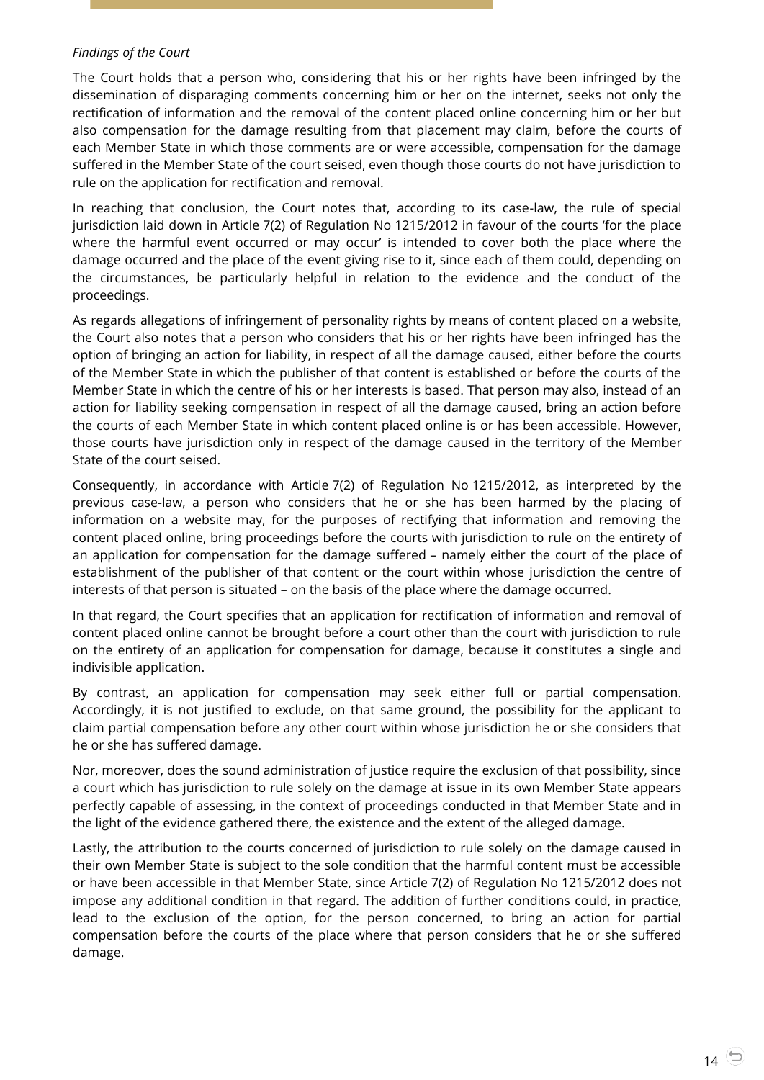#### *Findings of the Court*

The Court holds that a person who, considering that his or her rights have been infringed by the dissemination of disparaging comments concerning him or her on the internet, seeks not only the rectification of information and the removal of the content placed online concerning him or her but also compensation for the damage resulting from that placement may claim, before the courts of each Member State in which those comments are or were accessible, compensation for the damage suffered in the Member State of the court seised, even though those courts do not have jurisdiction to rule on the application for rectification and removal.

In reaching that conclusion, the Court notes that, according to its case-law, the rule of special jurisdiction laid down in Article 7(2) of Regulation No 1215/2012 in favour of the courts 'for the place where the harmful event occurred or may occur' is intended to cover both the place where the damage occurred and the place of the event giving rise to it, since each of them could, depending on the circumstances, be particularly helpful in relation to the evidence and the conduct of the proceedings.

As regards allegations of infringement of personality rights by means of content placed on a website, the Court also notes that a person who considers that his or her rights have been infringed has the option of bringing an action for liability, in respect of all the damage caused, either before the courts of the Member State in which the publisher of that content is established or before the courts of the Member State in which the centre of his or her interests is based. That person may also, instead of an action for liability seeking compensation in respect of all the damage caused, bring an action before the courts of each Member State in which content placed online is or has been accessible. However, those courts have jurisdiction only in respect of the damage caused in the territory of the Member State of the court seised.

Consequently, in accordance with Article 7(2) of Regulation No 1215/2012, as interpreted by the previous case-law, a person who considers that he or she has been harmed by the placing of information on a website may, for the purposes of rectifying that information and removing the content placed online, bring proceedings before the courts with jurisdiction to rule on the entirety of an application for compensation for the damage suffered – namely either the court of the place of establishment of the publisher of that content or the court within whose jurisdiction the centre of interests of that person is situated – on the basis of the place where the damage occurred.

In that regard, the Court specifies that an application for rectification of information and removal of content placed online cannot be brought before a court other than the court with jurisdiction to rule on the entirety of an application for compensation for damage, because it constitutes a single and indivisible application.

By contrast, an application for compensation may seek either full or partial compensation. Accordingly, it is not justified to exclude, on that same ground, the possibility for the applicant to claim partial compensation before any other court within whose jurisdiction he or she considers that he or she has suffered damage.

Nor, moreover, does the sound administration of justice require the exclusion of that possibility, since a court which has jurisdiction to rule solely on the damage at issue in its own Member State appears perfectly capable of assessing, in the context of proceedings conducted in that Member State and in the light of the evidence gathered there, the existence and the extent of the alleged damage.

Lastly, the attribution to the courts concerned of jurisdiction to rule solely on the damage caused in their own Member State is subject to the sole condition that the harmful content must be accessible or have been accessible in that Member State, since Article 7(2) of Regulation No 1215/2012 does not impose any additional condition in that regard. The addition of further conditions could, in practice, lead to the exclusion of the option, for the person concerned, to bring an action for partial compensation before the courts of the place where that person considers that he or she suffered damage.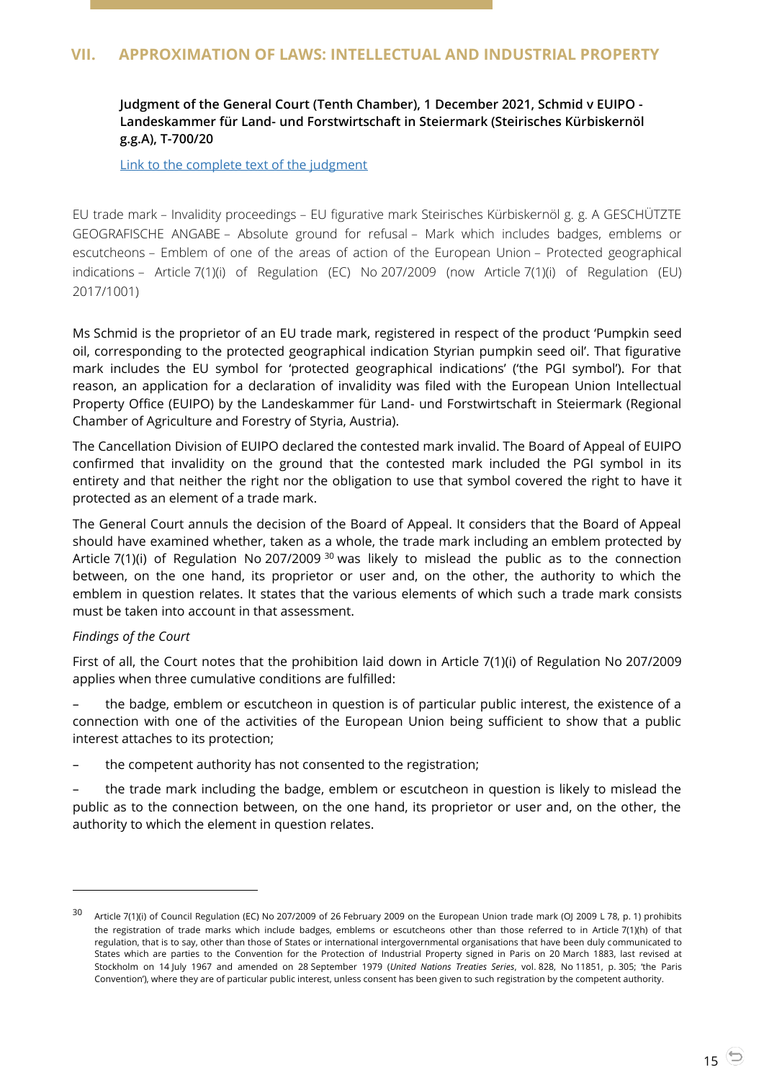## <span id="page-14-1"></span><span id="page-14-0"></span>**Judgment of the General Court (Tenth Chamber), 1 December 2021, Schmid v EUIPO - Landeskammer für Land- und Forstwirtschaft in Steiermark (Steirisches Kürbiskernöl g.g.A), T-700/20**

[Link to the complete text of the judgment](https://curia.europa.eu/juris/document/document.jsf?text=&docid=250352&pageIndex=0&doclang=EN&mode=lst&dir=&occ=first&part=1&cid=5227549)

EU trade mark – Invalidity proceedings – EU figurative mark Steirisches Kürbiskernöl g. g. A GESCHÜTZTE GEOGRAFISCHE ANGABE – Absolute ground for refusal – Mark which includes badges, emblems or escutcheons – Emblem of one of the areas of action of the European Union – Protected geographical indications – Article 7(1)(i) of Regulation (EC) No 207/2009 (now Article 7(1)(i) of Regulation (EU) 2017/1001)

Ms Schmid is the proprietor of an EU trade mark, registered in respect of the product 'Pumpkin seed oil, corresponding to the protected geographical indication Styrian pumpkin seed oil'. That figurative mark includes the EU symbol for 'protected geographical indications' ('the PGI symbol'). For that reason, an application for a declaration of invalidity was filed with the European Union Intellectual Property Office (EUIPO) by the Landeskammer für Land- und Forstwirtschaft in Steiermark (Regional Chamber of Agriculture and Forestry of Styria, Austria).

The Cancellation Division of EUIPO declared the contested mark invalid. The Board of Appeal of EUIPO confirmed that invalidity on the ground that the contested mark included the PGI symbol in its entirety and that neither the right nor the obligation to use that symbol covered the right to have it protected as an element of a trade mark.

The General Court annuls the decision of the Board of Appeal. It considers that the Board of Appeal should have examined whether, taken as a whole, the trade mark including an emblem protected by Article  $7(1)(i)$  of Regulation No 207/2009  $30$  was likely to mislead the public as to the connection between, on the one hand, its proprietor or user and, on the other, the authority to which the emblem in question relates. It states that the various elements of which such a trade mark consists must be taken into account in that assessment.

## *Findings of the Court*

 $\overline{a}$ 

First of all, the Court notes that the prohibition laid down in Article 7(1)(i) of Regulation No 207/2009 applies when three cumulative conditions are fulfilled:

– the badge, emblem or escutcheon in question is of particular public interest, the existence of a connection with one of the activities of the European Union being sufficient to show that a public interest attaches to its protection;

– the competent authority has not consented to the registration;

– the trade mark including the badge, emblem or escutcheon in question is likely to mislead the public as to the connection between, on the one hand, its proprietor or user and, on the other, the authority to which the element in question relates.

 $30$  Article 7(1)(i) of Council Regulation (EC) No 207/2009 of 26 February 2009 on the European Union trade mark (OJ 2009 L 78, p. 1) prohibits the registration of trade marks which include badges, emblems or escutcheons other than those referred to in Article 7(1)(h) of that regulation, that is to say, other than those of States or international intergovernmental organisations that have been duly communicated to States which are parties to the Convention for the Protection of Industrial Property signed in Paris on 20 March 1883, last revised at Stockholm on 14 July 1967 and amended on 28 September 1979 (*United Nations Treaties Series*, vol. 828, No 11851, p. 305; 'the Paris Convention'), where they are of particular public interest, unless consent has been given to such registration by the competent authority.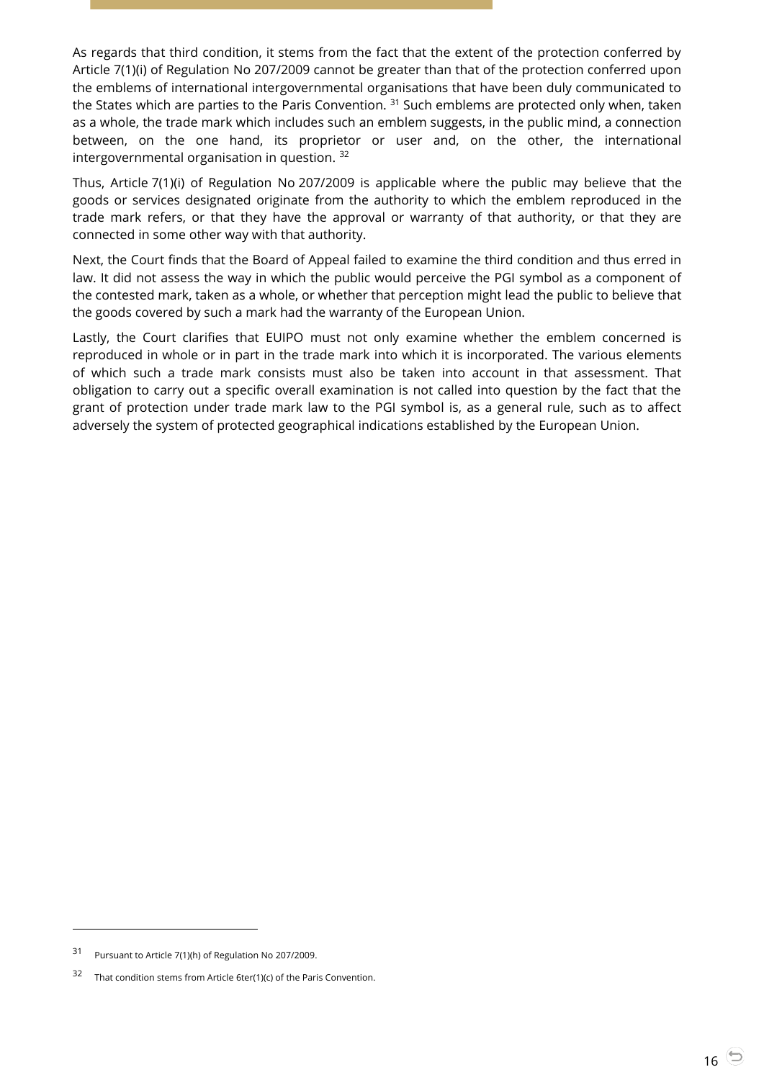As regards that third condition, it stems from the fact that the extent of the protection conferred by Article 7(1)(i) of Regulation No 207/2009 cannot be greater than that of the protection conferred upon the emblems of international intergovernmental organisations that have been duly communicated to the States which are parties to the Paris Convention. <sup>31</sup> Such emblems are protected only when, taken as a whole, the trade mark which includes such an emblem suggests, in the public mind, a connection between, on the one hand, its proprietor or user and, on the other, the international intergovernmental organisation in question. <sup>32</sup>

Thus, Article 7(1)(i) of Regulation No 207/2009 is applicable where the public may believe that the goods or services designated originate from the authority to which the emblem reproduced in the trade mark refers, or that they have the approval or warranty of that authority, or that they are connected in some other way with that authority.

Next, the Court finds that the Board of Appeal failed to examine the third condition and thus erred in law. It did not assess the way in which the public would perceive the PGI symbol as a component of the contested mark, taken as a whole, or whether that perception might lead the public to believe that the goods covered by such a mark had the warranty of the European Union.

Lastly, the Court clarifies that EUIPO must not only examine whether the emblem concerned is reproduced in whole or in part in the trade mark into which it is incorporated. The various elements of which such a trade mark consists must also be taken into account in that assessment. That obligation to carry out a specific overall examination is not called into question by the fact that the grant of protection under trade mark law to the PGI symbol is, as a general rule, such as to affect adversely the system of protected geographical indications established by the European Union.

<sup>31</sup> Pursuant to Article 7(1)(h) of Regulation No 207/2009.

<sup>32</sup> That condition stems from Article 6ter(1)(c) of the Paris Convention.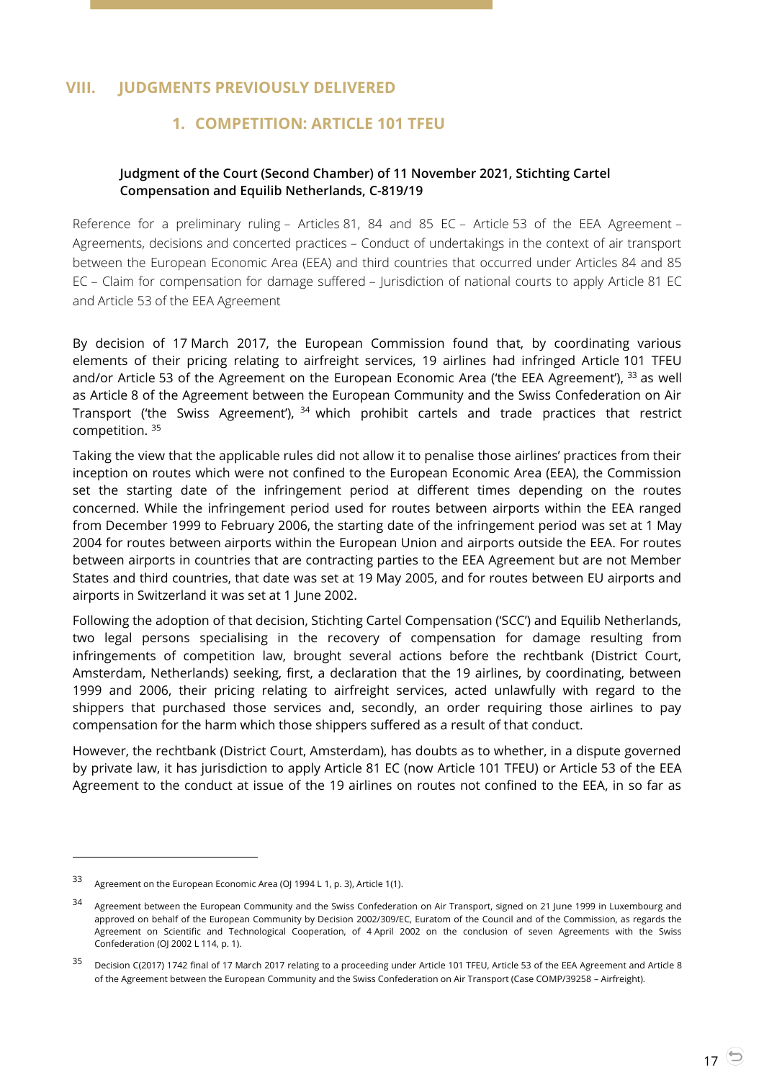# <span id="page-16-2"></span><span id="page-16-1"></span><span id="page-16-0"></span>**VIII. JUDGMENTS PREVIOUSLY DELIVERED**

# **1. COMPETITION: ARTICLE 101 TFEU**

## **Judgment of the Court (Second Chamber) of 11 November 2021, Stichting Cartel Compensation and Equilib Netherlands, C-819/19**

Reference for a preliminary ruling – Articles 81, 84 and 85 EC – Article 53 of the EEA Agreement – Agreements, decisions and concerted practices – Conduct of undertakings in the context of air transport between the European Economic Area (EEA) and third countries that occurred under Articles 84 and 85 EC – Claim for compensation for damage suffered – Jurisdiction of national courts to apply Article 81 EC and Article 53 of the EEA Agreement

By decision of 17 March 2017, the European Commission found that, by coordinating various elements of their pricing relating to airfreight services, 19 airlines had infringed Article 101 TFEU and/or Article 53 of the Agreement on the European Economic Area ('the EEA Agreement'),  $^{33}$  as well as Article 8 of the Agreement between the European Community and the Swiss Confederation on Air Transport ('the Swiss Agreement'), <sup>34</sup> which prohibit cartels and trade practices that restrict competition. <sup>35</sup>

Taking the view that the applicable rules did not allow it to penalise those airlines' practices from their inception on routes which were not confined to the European Economic Area (EEA), the Commission set the starting date of the infringement period at different times depending on the routes concerned. While the infringement period used for routes between airports within the EEA ranged from December 1999 to February 2006, the starting date of the infringement period was set at 1 May 2004 for routes between airports within the European Union and airports outside the EEA. For routes between airports in countries that are contracting parties to the EEA Agreement but are not Member States and third countries, that date was set at 19 May 2005, and for routes between EU airports and airports in Switzerland it was set at 1 June 2002.

Following the adoption of that decision, Stichting Cartel Compensation ('SCC') and Equilib Netherlands, two legal persons specialising in the recovery of compensation for damage resulting from infringements of competition law, brought several actions before the rechtbank (District Court, Amsterdam, Netherlands) seeking, first, a declaration that the 19 airlines, by coordinating, between 1999 and 2006, their pricing relating to airfreight services, acted unlawfully with regard to the shippers that purchased those services and, secondly, an order requiring those airlines to pay compensation for the harm which those shippers suffered as a result of that conduct.

However, the rechtbank (District Court, Amsterdam), has doubts as to whether, in a dispute governed by private law, it has jurisdiction to apply Article 81 EC (now Article 101 TFEU) or Article 53 of the EEA Agreement to the conduct at issue of the 19 airlines on routes not confined to the EEA, in so far as

<sup>33</sup> Agreement on the European Economic Area (OJ 1994 L 1, p. 3), Article 1(1).

<sup>&</sup>lt;sup>34</sup> Agreement between the European Community and the Swiss Confederation on Air Transport, signed on 21 June 1999 in Luxembourg and approved on behalf of the European Community by Decision 2002/309/EC, Euratom of the Council and of the Commission, as regards the Agreement on Scientific and Technological Cooperation, of 4 April 2002 on the conclusion of seven Agreements with the Swiss Confederation (OJ 2002 L 114, p. 1).

<sup>&</sup>lt;sup>35</sup> Decision C(2017) 1742 final of 17 March 2017 relating to a proceeding under Article 101 TFEU. Article 53 of the EEA Agreement and Article 8 of the Agreement between the European Community and the Swiss Confederation on Air Transport (Case COMP/39258 – Airfreight).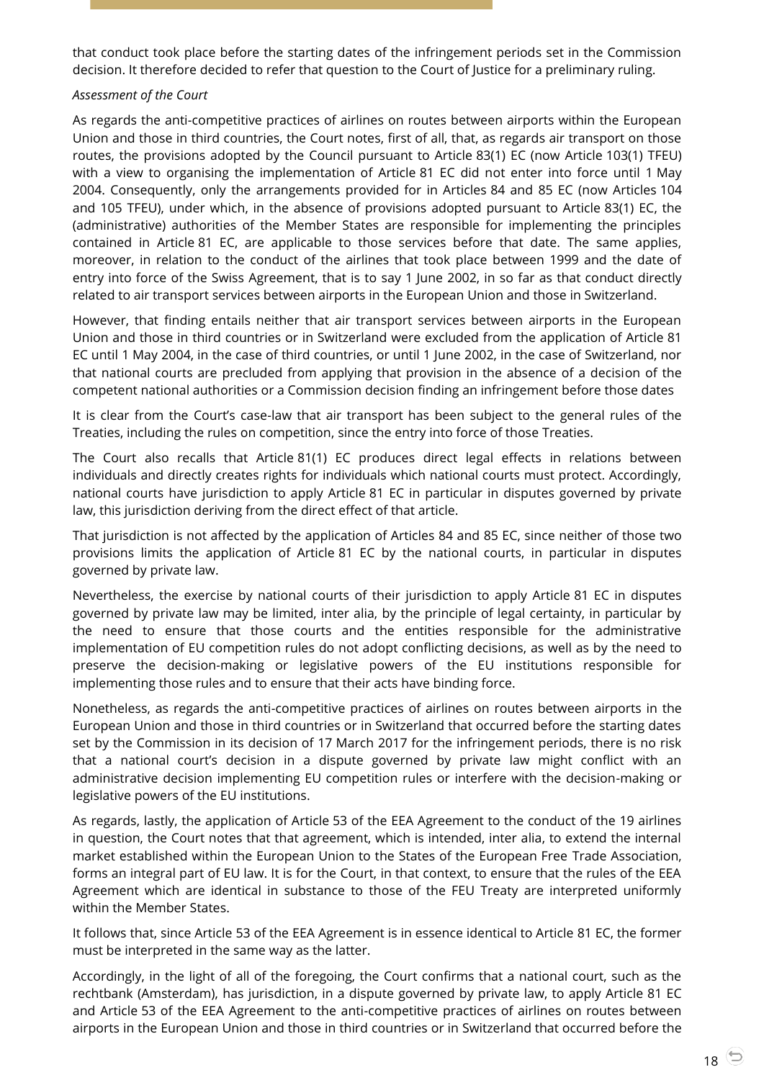that conduct took place before the starting dates of the infringement periods set in the Commission decision. It therefore decided to refer that question to the Court of Justice for a preliminary ruling.

#### *Assessment of the Court*

As regards the anti-competitive practices of airlines on routes between airports within the European Union and those in third countries, the Court notes, first of all, that, as regards air transport on those routes, the provisions adopted by the Council pursuant to Article 83(1) EC (now Article 103(1) TFEU) with a view to organising the implementation of Article 81 EC did not enter into force until 1 May 2004. Consequently, only the arrangements provided for in Articles 84 and 85 EC (now Articles 104 and 105 TFEU), under which, in the absence of provisions adopted pursuant to Article 83(1) EC, the (administrative) authorities of the Member States are responsible for implementing the principles contained in Article 81 EC, are applicable to those services before that date. The same applies, moreover, in relation to the conduct of the airlines that took place between 1999 and the date of entry into force of the Swiss Agreement, that is to say 1 June 2002, in so far as that conduct directly related to air transport services between airports in the European Union and those in Switzerland.

However, that finding entails neither that air transport services between airports in the European Union and those in third countries or in Switzerland were excluded from the application of Article 81 EC until 1 May 2004, in the case of third countries, or until 1 June 2002, in the case of Switzerland, nor that national courts are precluded from applying that provision in the absence of a decision of the competent national authorities or a Commission decision finding an infringement before those dates

It is clear from the Court's case-law that air transport has been subject to the general rules of the Treaties, including the rules on competition, since the entry into force of those Treaties.

The Court also recalls that Article 81(1) EC produces direct legal effects in relations between individuals and directly creates rights for individuals which national courts must protect. Accordingly, national courts have jurisdiction to apply Article 81 EC in particular in disputes governed by private law, this jurisdiction deriving from the direct effect of that article.

That jurisdiction is not affected by the application of Articles 84 and 85 EC, since neither of those two provisions limits the application of Article 81 EC by the national courts, in particular in disputes governed by private law.

Nevertheless, the exercise by national courts of their jurisdiction to apply Article 81 EC in disputes governed by private law may be limited, inter alia, by the principle of legal certainty, in particular by the need to ensure that those courts and the entities responsible for the administrative implementation of EU competition rules do not adopt conflicting decisions, as well as by the need to preserve the decision-making or legislative powers of the EU institutions responsible for implementing those rules and to ensure that their acts have binding force.

Nonetheless, as regards the anti-competitive practices of airlines on routes between airports in the European Union and those in third countries or in Switzerland that occurred before the starting dates set by the Commission in its decision of 17 March 2017 for the infringement periods, there is no risk that a national court's decision in a dispute governed by private law might conflict with an administrative decision implementing EU competition rules or interfere with the decision-making or legislative powers of the EU institutions.

As regards, lastly, the application of Article 53 of the EEA Agreement to the conduct of the 19 airlines in question, the Court notes that that agreement, which is intended, inter alia, to extend the internal market established within the European Union to the States of the European Free Trade Association, forms an integral part of EU law. It is for the Court, in that context, to ensure that the rules of the EEA Agreement which are identical in substance to those of the FEU Treaty are interpreted uniformly within the Member States.

It follows that, since Article 53 of the EEA Agreement is in essence identical to Article 81 EC, the former must be interpreted in the same way as the latter.

Accordingly, in the light of all of the foregoing, the Court confirms that a national court, such as the rechtbank (Amsterdam), has jurisdiction, in a dispute governed by private law, to apply Article 81 EC and Article 53 of the EEA Agreement to the anti-competitive practices of airlines on routes between airports in the European Union and those in third countries or in Switzerland that occurred before the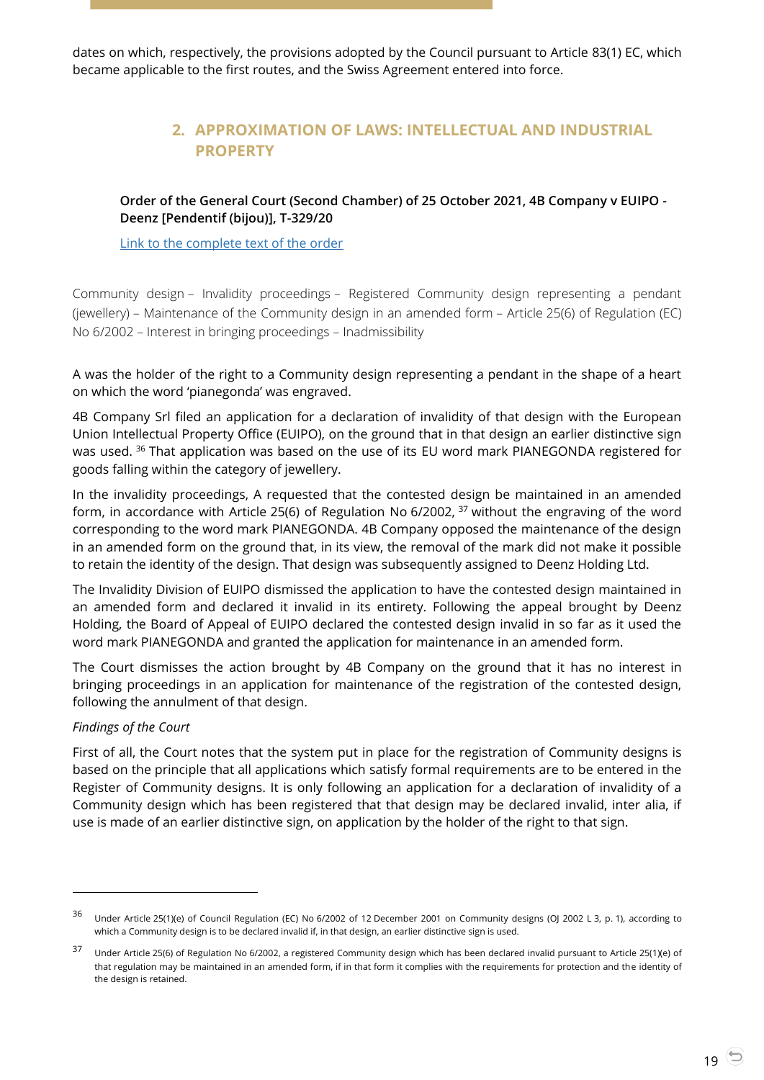<span id="page-18-0"></span>dates on which, respectively, the provisions adopted by the Council pursuant to Article 83(1) EC, which became applicable to the first routes, and the Swiss Agreement entered into force.

# **2. APPROXIMATION OF LAWS: INTELLECTUAL AND INDUSTRIAL PROPERTY**

<span id="page-18-1"></span>**Order of the General Court (Second Chamber) of 25 October 2021, 4B Company v EUIPO - Deenz [Pendentif (bijou)], T-329/20**

[Link to the complete text of the order](https://curia.europa.eu/juris/document/document.jsf?text=&docid=248143&pageIndex=0&doclang=EN&mode=lst&dir=&occ=first&part=1&cid=5237741)

Community design – Invalidity proceedings – Registered Community design representing a pendant (jewellery) – Maintenance of the Community design in an amended form – Article 25(6) of Regulation (EC) No 6/2002 – Interest in bringing proceedings – Inadmissibility

A was the holder of the right to a Community design representing a pendant in the shape of a heart on which the word 'pianegonda' was engraved.

4B Company Srl filed an application for a declaration of invalidity of that design with the European Union Intellectual Property Office (EUIPO), on the ground that in that design an earlier distinctive sign was used. <sup>36</sup> That application was based on the use of its EU word mark PIANEGONDA registered for goods falling within the category of jewellery.

In the invalidity proceedings, A requested that the contested design be maintained in an amended form, in accordance with Article 25(6) of Regulation No 6/2002, <sup>37</sup> without the engraving of the word corresponding to the word mark PIANEGONDA. 4B Company opposed the maintenance of the design in an amended form on the ground that, in its view, the removal of the mark did not make it possible to retain the identity of the design. That design was subsequently assigned to Deenz Holding Ltd.

The Invalidity Division of EUIPO dismissed the application to have the contested design maintained in an amended form and declared it invalid in its entirety. Following the appeal brought by Deenz Holding, the Board of Appeal of EUIPO declared the contested design invalid in so far as it used the word mark PIANEGONDA and granted the application for maintenance in an amended form.

The Court dismisses the action brought by 4B Company on the ground that it has no interest in bringing proceedings in an application for maintenance of the registration of the contested design, following the annulment of that design.

#### *Findings of the Court*

-

First of all, the Court notes that the system put in place for the registration of Community designs is based on the principle that all applications which satisfy formal requirements are to be entered in the Register of Community designs. It is only following an application for a declaration of invalidity of a Community design which has been registered that that design may be declared invalid, inter alia, if use is made of an earlier distinctive sign, on application by the holder of the right to that sign.

<sup>&</sup>lt;sup>36</sup> Under Article 25(1)(e) of Council Regulation (EC) No 6/2002 of 12 December 2001 on Community designs (OJ 2002 L 3, p. 1), according to which a Community design is to be declared invalid if, in that design, an earlier distinctive sign is used.

<sup>37</sup> Under Article 25(6) of Regulation No 6/2002, a registered Community design which has been declared invalid pursuant to Article 25(1)(e) of that regulation may be maintained in an amended form, if in that form it complies with the requirements for protection and the identity of the design is retained.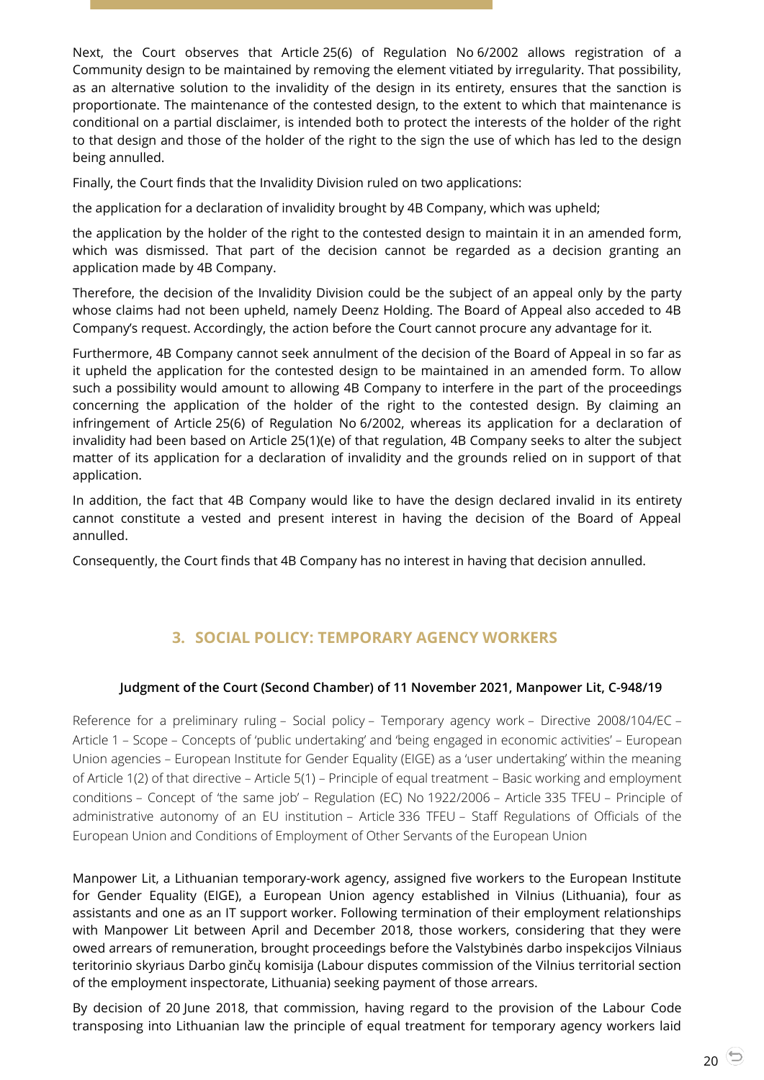Next, the Court observes that Article 25(6) of Regulation No 6/2002 allows registration of a Community design to be maintained by removing the element vitiated by irregularity. That possibility, as an alternative solution to the invalidity of the design in its entirety, ensures that the sanction is proportionate. The maintenance of the contested design, to the extent to which that maintenance is conditional on a partial disclaimer, is intended both to protect the interests of the holder of the right to that design and those of the holder of the right to the sign the use of which has led to the design being annulled.

Finally, the Court finds that the Invalidity Division ruled on two applications:

the application for a declaration of invalidity brought by 4B Company, which was upheld;

the application by the holder of the right to the contested design to maintain it in an amended form, which was dismissed. That part of the decision cannot be regarded as a decision granting an application made by 4B Company.

Therefore, the decision of the Invalidity Division could be the subject of an appeal only by the party whose claims had not been upheld, namely Deenz Holding. The Board of Appeal also acceded to 4B Company's request. Accordingly, the action before the Court cannot procure any advantage for it.

Furthermore, 4B Company cannot seek annulment of the decision of the Board of Appeal in so far as it upheld the application for the contested design to be maintained in an amended form. To allow such a possibility would amount to allowing 4B Company to interfere in the part of the proceedings concerning the application of the holder of the right to the contested design. By claiming an infringement of Article 25(6) of Regulation No 6/2002, whereas its application for a declaration of invalidity had been based on Article 25(1)(e) of that regulation, 4B Company seeks to alter the subject matter of its application for a declaration of invalidity and the grounds relied on in support of that application.

In addition, the fact that 4B Company would like to have the design declared invalid in its entirety cannot constitute a vested and present interest in having the decision of the Board of Appeal annulled.

Consequently, the Court finds that 4B Company has no interest in having that decision annulled.

# **3. SOCIAL POLICY: TEMPORARY AGENCY WORKERS**

## <span id="page-19-1"></span><span id="page-19-0"></span>**Judgment of the Court (Second Chamber) of 11 November 2021, Manpower Lit, C-948/19**

Reference for a preliminary ruling – Social policy – Temporary agency work – Directive 2008/104/EC – Article 1 – Scope – Concepts of 'public undertaking' and 'being engaged in economic activities' – European Union agencies – European Institute for Gender Equality (EIGE) as a 'user undertaking' within the meaning of Article 1(2) of that directive – Article 5(1) – Principle of equal treatment – Basic working and employment conditions – Concept of 'the same job' – Regulation (EC) No 1922/2006 – Article 335 TFEU – Principle of administrative autonomy of an EU institution – Article 336 TFEU – Staff Regulations of Officials of the European Union and Conditions of Employment of Other Servants of the European Union

Manpower Lit, a Lithuanian temporary-work agency, assigned five workers to the European Institute for Gender Equality (EIGE), a European Union agency established in Vilnius (Lithuania), four as assistants and one as an IT support worker. Following termination of their employment relationships with Manpower Lit between April and December 2018, those workers, considering that they were owed arrears of remuneration, brought proceedings before the Valstybinės darbo inspekcijos Vilniaus teritorinio skyriaus Darbo ginčų komisija (Labour disputes commission of the Vilnius territorial section of the employment inspectorate, Lithuania) seeking payment of those arrears.

By decision of 20 June 2018, that commission, having regard to the provision of the Labour Code transposing into Lithuanian law the principle of equal treatment for temporary agency workers laid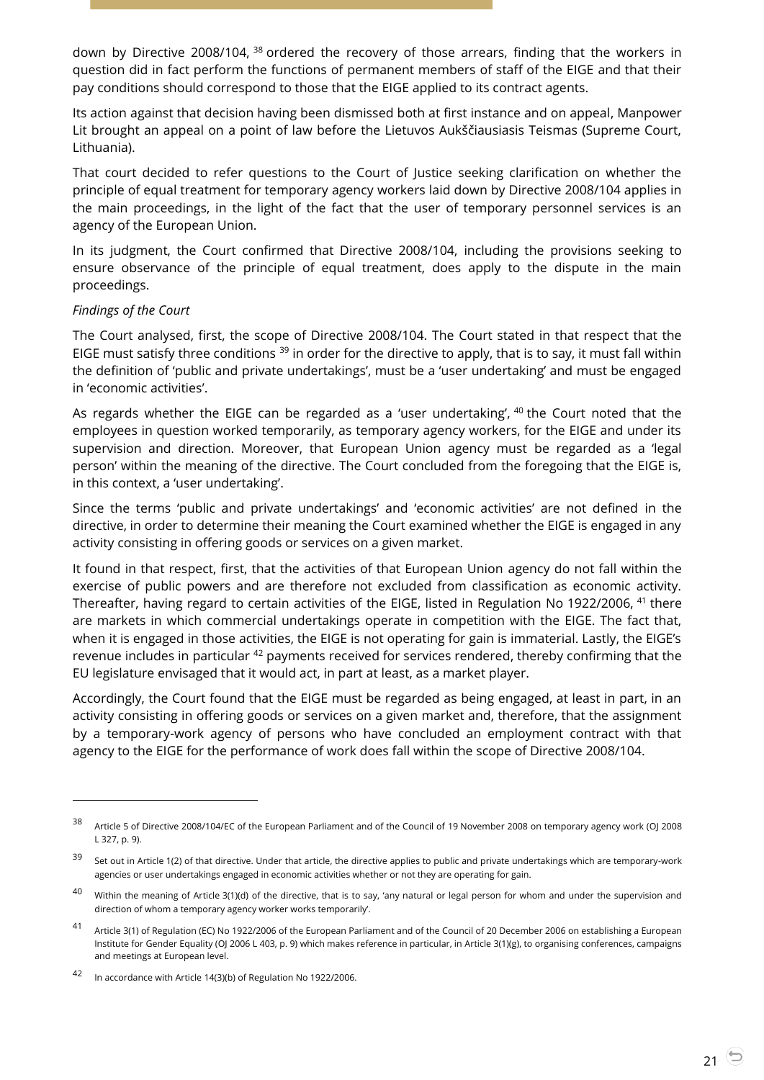down by Directive 2008/104, <sup>38</sup> ordered the recovery of those arrears, finding that the workers in question did in fact perform the functions of permanent members of staff of the EIGE and that their pay conditions should correspond to those that the EIGE applied to its contract agents.

Its action against that decision having been dismissed both at first instance and on appeal, Manpower Lit brought an appeal on a point of law before the Lietuvos Aukščiausiasis Teismas (Supreme Court, Lithuania).

That court decided to refer questions to the Court of Justice seeking clarification on whether the principle of equal treatment for temporary agency workers laid down by Directive 2008/104 applies in the main proceedings, in the light of the fact that the user of temporary personnel services is an agency of the European Union.

In its judgment, the Court confirmed that Directive 2008/104, including the provisions seeking to ensure observance of the principle of equal treatment, does apply to the dispute in the main proceedings.

#### *Findings of the Court*

 $\overline{a}$ 

The Court analysed, first, the scope of Directive 2008/104. The Court stated in that respect that the EIGE must satisfy three conditions  $39$  in order for the directive to apply, that is to say, it must fall within the definition of 'public and private undertakings', must be a 'user undertaking' and must be engaged in 'economic activities'.

As regards whether the EIGE can be regarded as a 'user undertaking',  $40$  the Court noted that the employees in question worked temporarily, as temporary agency workers, for the EIGE and under its supervision and direction. Moreover, that European Union agency must be regarded as a 'legal person' within the meaning of the directive. The Court concluded from the foregoing that the EIGE is, in this context, a 'user undertaking'.

Since the terms 'public and private undertakings' and 'economic activities' are not defined in the directive, in order to determine their meaning the Court examined whether the EIGE is engaged in any activity consisting in offering goods or services on a given market.

It found in that respect, first, that the activities of that European Union agency do not fall within the exercise of public powers and are therefore not excluded from classification as economic activity. Thereafter, having regard to certain activities of the EIGE, listed in Regulation No 1922/2006, <sup>41</sup> there are markets in which commercial undertakings operate in competition with the EIGE. The fact that, when it is engaged in those activities, the EIGE is not operating for gain is immaterial. Lastly, the EIGE's revenue includes in particular <sup>42</sup> payments received for services rendered, thereby confirming that the EU legislature envisaged that it would act, in part at least, as a market player.

Accordingly, the Court found that the EIGE must be regarded as being engaged, at least in part, in an activity consisting in offering goods or services on a given market and, therefore, that the assignment by a temporary-work agency of persons who have concluded an employment contract with that agency to the EIGE for the performance of work does fall within the scope of Directive 2008/104.

<sup>38</sup> Article <sup>5</sup> of Directive 2008/104/EC of the European Parliament and of the Council of 19 November 2008 on temporary agency work (OJ 2008 L 327, p. 9).

<sup>&</sup>lt;sup>39</sup> Set out in Article 1(2) of that directive. Under that article, the directive applies to public and private undertakings which are temporary-work agencies or user undertakings engaged in economic activities whether or not they are operating for gain.

<sup>&</sup>lt;sup>40</sup> Within the meaning of Article 3(1)(d) of the directive, that is to say, 'any natural or legal person for whom and under the supervision and direction of whom a temporary agency worker works temporarily'.

<sup>41</sup> Article 3(1) of Regulation (EC) No 1922/2006 of the European Parliament and of the Council of 20 December 2006 on establishing a European Institute for Gender Equality (OJ 2006 L 403, p. 9) which makes reference in particular, in Article 3(1)(g), to organising conferences, campaigns and meetings at European level.

<sup>42</sup> In accordance with Article 14(3)(b) of Regulation No 1922/2006.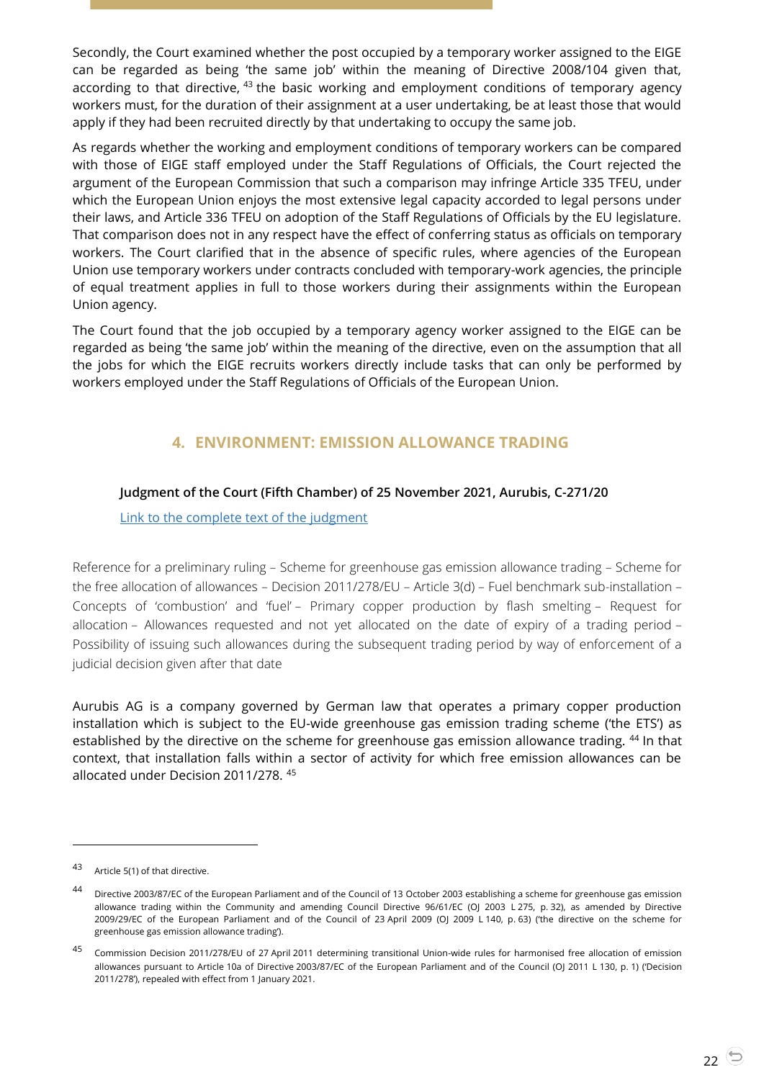Secondly, the Court examined whether the post occupied by a temporary worker assigned to the EIGE can be regarded as being 'the same job' within the meaning of Directive 2008/104 given that, according to that directive, <sup>43</sup> the basic working and employment conditions of temporary agency workers must, for the duration of their assignment at a user undertaking, be at least those that would apply if they had been recruited directly by that undertaking to occupy the same job.

As regards whether the working and employment conditions of temporary workers can be compared with those of EIGE staff employed under the Staff Regulations of Officials, the Court rejected the argument of the European Commission that such a comparison may infringe Article 335 TFEU, under which the European Union enjoys the most extensive legal capacity accorded to legal persons under their laws, and Article 336 TFEU on adoption of the Staff Regulations of Officials by the EU legislature. That comparison does not in any respect have the effect of conferring status as officials on temporary workers. The Court clarified that in the absence of specific rules, where agencies of the European Union use temporary workers under contracts concluded with temporary-work agencies, the principle of equal treatment applies in full to those workers during their assignments within the European Union agency.

The Court found that the job occupied by a temporary agency worker assigned to the EIGE can be regarded as being 'the same job' within the meaning of the directive, even on the assumption that all the jobs for which the EIGE recruits workers directly include tasks that can only be performed by workers employed under the Staff Regulations of Officials of the European Union.

# **4. ENVIRONMENT: EMISSION ALLOWANCE TRADING**

## <span id="page-21-1"></span><span id="page-21-0"></span>**Judgment of the Court (Fifth Chamber) of 25 November 2021, Aurubis, C-271/20**

[Link to the complete text of the judgment](https://curia.europa.eu/juris/document/document.jsf?text=&docid=250045&pageIndex=0&doclang=EN&mode=lst&dir=&occ=first&part=1&cid=5286304)

Reference for a preliminary ruling – Scheme for greenhouse gas emission allowance trading – Scheme for the free allocation of allowances – Decision 2011/278/EU – Article 3(d) – Fuel benchmark sub-installation – Concepts of 'combustion' and 'fuel' – Primary copper production by flash smelting – Request for allocation – Allowances requested and not yet allocated on the date of expiry of a trading period – Possibility of issuing such allowances during the subsequent trading period by way of enforcement of a judicial decision given after that date

Aurubis AG is a company governed by German law that operates a primary copper production installation which is subject to the EU-wide greenhouse gas emission trading scheme ('the ETS') as established by the directive on the scheme for greenhouse gas emission allowance trading. <sup>44</sup> In that context, that installation falls within a sector of activity for which free emission allowances can be allocated under Decision 2011/278. <sup>45</sup>

-

<sup>43</sup> Article 5(1) of that directive.

<sup>44</sup> Directive 2003/87/EC of the European Parliament and of the Council of 13 October 2003 establishing a scheme for greenhouse gas emission allowance trading within the Community and amending Council Directive 96/61/EC (OJ 2003 L 275, p. 32), as amended by Directive 2009/29/EC of the European Parliament and of the Council of 23 April 2009 (OJ 2009 L 140, p. 63) ('the directive on the scheme for greenhouse gas emission allowance trading').

<sup>45</sup> Commission Decision 2011/278/EU of 27 April 2011 determining transitional Union-wide rules for harmonised free allocation of emission allowances pursuant to Article 10a of Directive 2003/87/EC of the European Parliament and of the Council (OJ 2011 L 130, p. 1) ('Decision 2011/278'), repealed with effect from 1 January 2021.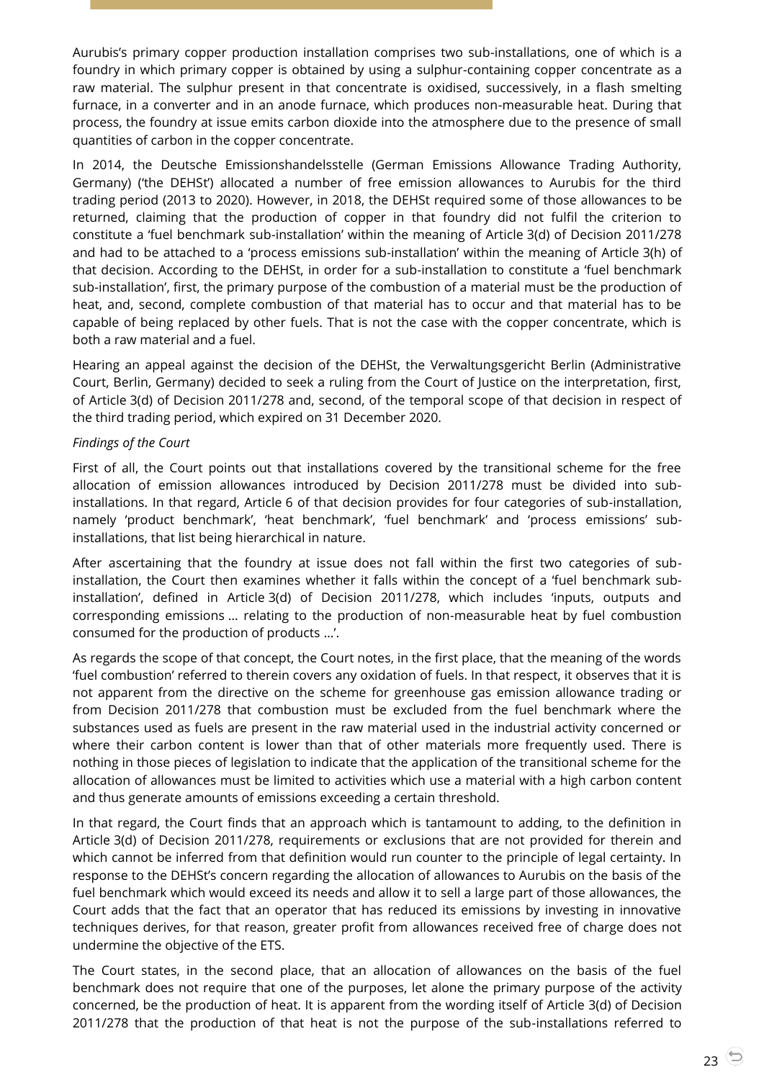Aurubis's primary copper production installation comprises two sub-installations, one of which is a foundry in which primary copper is obtained by using a sulphur-containing copper concentrate as a raw material. The sulphur present in that concentrate is oxidised, successively, in a flash smelting furnace, in a converter and in an anode furnace, which produces non-measurable heat. During that process, the foundry at issue emits carbon dioxide into the atmosphere due to the presence of small quantities of carbon in the copper concentrate.

In 2014, the Deutsche Emissionshandelsstelle (German Emissions Allowance Trading Authority, Germany) ('the DEHSt') allocated a number of free emission allowances to Aurubis for the third trading period (2013 to 2020). However, in 2018, the DEHSt required some of those allowances to be returned, claiming that the production of copper in that foundry did not fulfil the criterion to constitute a 'fuel benchmark sub-installation' within the meaning of Article 3(d) of Decision 2011/278 and had to be attached to a 'process emissions sub-installation' within the meaning of Article 3(h) of that decision. According to the DEHSt, in order for a sub-installation to constitute a 'fuel benchmark sub-installation', first, the primary purpose of the combustion of a material must be the production of heat, and, second, complete combustion of that material has to occur and that material has to be capable of being replaced by other fuels. That is not the case with the copper concentrate, which is both a raw material and a fuel.

Hearing an appeal against the decision of the DEHSt, the Verwaltungsgericht Berlin (Administrative Court, Berlin, Germany) decided to seek a ruling from the Court of Justice on the interpretation, first, of Article 3(d) of Decision 2011/278 and, second, of the temporal scope of that decision in respect of the third trading period, which expired on 31 December 2020.

#### *Findings of the Court*

First of all, the Court points out that installations covered by the transitional scheme for the free allocation of emission allowances introduced by Decision 2011/278 must be divided into subinstallations. In that regard, Article 6 of that decision provides for four categories of sub-installation, namely 'product benchmark', 'heat benchmark', 'fuel benchmark' and 'process emissions' subinstallations, that list being hierarchical in nature.

After ascertaining that the foundry at issue does not fall within the first two categories of subinstallation, the Court then examines whether it falls within the concept of a 'fuel benchmark subinstallation', defined in Article 3(d) of Decision 2011/278, which includes 'inputs, outputs and corresponding emissions … relating to the production of non-measurable heat by fuel combustion consumed for the production of products …'.

As regards the scope of that concept, the Court notes, in the first place, that the meaning of the words 'fuel combustion' referred to therein covers any oxidation of fuels. In that respect, it observes that it is not apparent from the directive on the scheme for greenhouse gas emission allowance trading or from Decision 2011/278 that combustion must be excluded from the fuel benchmark where the substances used as fuels are present in the raw material used in the industrial activity concerned or where their carbon content is lower than that of other materials more frequently used. There is nothing in those pieces of legislation to indicate that the application of the transitional scheme for the allocation of allowances must be limited to activities which use a material with a high carbon content and thus generate amounts of emissions exceeding a certain threshold.

In that regard, the Court finds that an approach which is tantamount to adding, to the definition in Article 3(d) of Decision 2011/278, requirements or exclusions that are not provided for therein and which cannot be inferred from that definition would run counter to the principle of legal certainty. In response to the DEHSt's concern regarding the allocation of allowances to Aurubis on the basis of the fuel benchmark which would exceed its needs and allow it to sell a large part of those allowances, the Court adds that the fact that an operator that has reduced its emissions by investing in innovative techniques derives, for that reason, greater profit from allowances received free of charge does not undermine the objective of the ETS.

The Court states, in the second place, that an allocation of allowances on the basis of the fuel benchmark does not require that one of the purposes, let alone the primary purpose of the activity concerned, be the production of heat. It is apparent from the wording itself of Article 3(d) of Decision 2011/278 that the production of that heat is not the purpose of the sub-installations referred to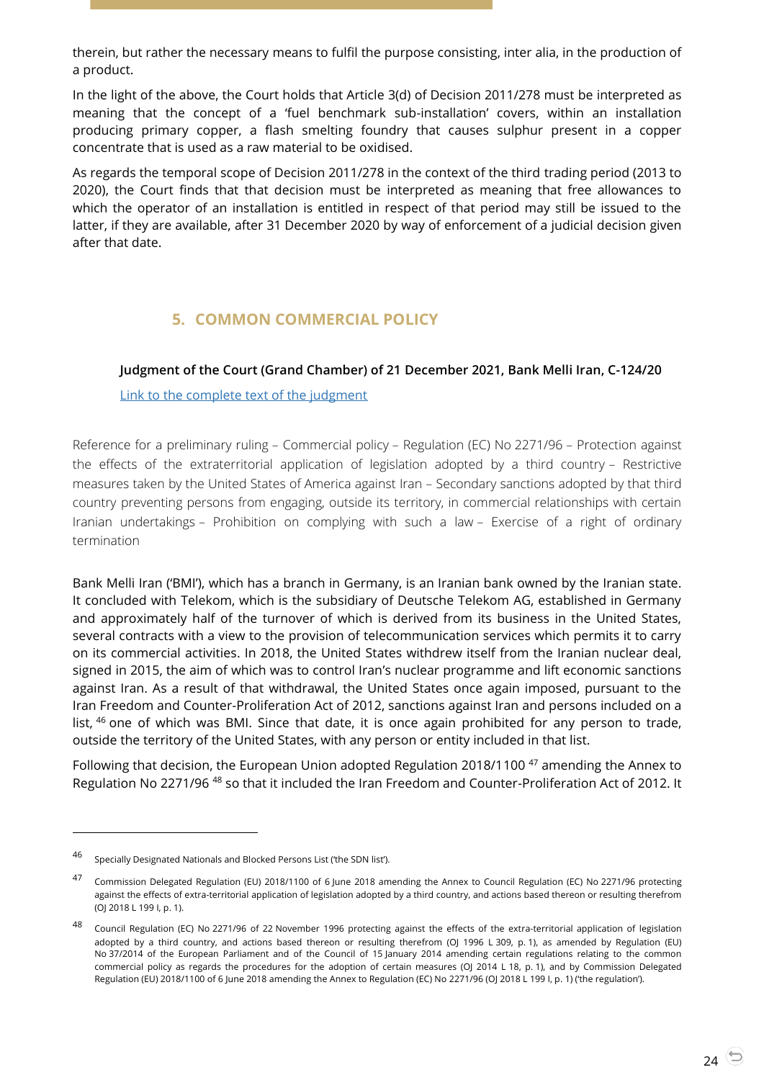therein, but rather the necessary means to fulfil the purpose consisting, inter alia, in the production of a product.

In the light of the above, the Court holds that Article 3(d) of Decision 2011/278 must be interpreted as meaning that the concept of a 'fuel benchmark sub-installation' covers, within an installation producing primary copper, a flash smelting foundry that causes sulphur present in a copper concentrate that is used as a raw material to be oxidised.

As regards the temporal scope of Decision 2011/278 in the context of the third trading period (2013 to 2020), the Court finds that that decision must be interpreted as meaning that free allowances to which the operator of an installation is entitled in respect of that period may still be issued to the latter, if they are available, after 31 December 2020 by way of enforcement of a judicial decision given after that date.

# **5. COMMON COMMERCIAL POLICY**

## <span id="page-23-1"></span><span id="page-23-0"></span>**Judgment of the Court (Grand Chamber) of 21 December 2021, Bank Melli Iran, C-124/20**

[Link to the complete text of the judgment](https://curia.europa.eu/juris/document/document.jsf?text=&docid=251507&pageIndex=0&doclang=EN&mode=req&dir=&occ=first&part=1&cid=287219)

Reference for a preliminary ruling – Commercial policy – Regulation (EC) No 2271/96 – Protection against the effects of the extraterritorial application of legislation adopted by a third country – Restrictive measures taken by the United States of America against Iran – Secondary sanctions adopted by that third country preventing persons from engaging, outside its territory, in commercial relationships with certain Iranian undertakings – Prohibition on complying with such a law – Exercise of a right of ordinary termination

Bank Melli Iran ('BMI'), which has a branch in Germany, is an Iranian bank owned by the Iranian state. It concluded with Telekom, which is the subsidiary of Deutsche Telekom AG, established in Germany and approximately half of the turnover of which is derived from its business in the United States, several contracts with a view to the provision of telecommunication services which permits it to carry on its commercial activities. In 2018, the United States withdrew itself from the Iranian nuclear deal, signed in 2015, the aim of which was to control Iran's nuclear programme and lift economic sanctions against Iran. As a result of that withdrawal, the United States once again imposed, pursuant to the Iran Freedom and Counter-Proliferation Act of 2012, sanctions against Iran and persons included on a list, <sup>46</sup> one of which was BMI. Since that date, it is once again prohibited for any person to trade, outside the territory of the United States, with any person or entity included in that list.

Following that decision, the European Union adopted Regulation 2018/1100 <sup>47</sup> amending the Annex to Regulation No 2271/96 <sup>48</sup> so that it included the Iran Freedom and Counter-Proliferation Act of 2012. It

<sup>46</sup> Specially Designated Nationals and Blocked Persons List ('the SDN list').

<sup>47</sup> Commission Delegated Regulation (EU) 2018/1100 of 6 June 2018 amending the Annex to Council Regulation (EC) No 2271/96 protecting against the effects of extra-territorial application of legislation adopted by a third country, and actions based thereon or resulting therefrom (OJ 2018 L 199 I, p. 1).

<sup>48</sup> Council Regulation (EC) No 2271/96 of 22 November 1996 protecting against the effects of the extra-territorial application of legislation adopted by a third country, and actions based thereon or resulting therefrom (OJ 1996 L 309, p. 1), as amended by Regulation (EU) No 37/2014 of the European Parliament and of the Council of 15 January 2014 amending certain regulations relating to the common commercial policy as regards the procedures for the adoption of certain measures (OJ 2014 L 18, p. 1), and by Commission Delegated Regulation (EU) 2018/1100 of 6 June 2018 amending the Annex to Regulation (EC) No 2271/96 (OJ 2018 L 199 I, p. 1) ('the regulation').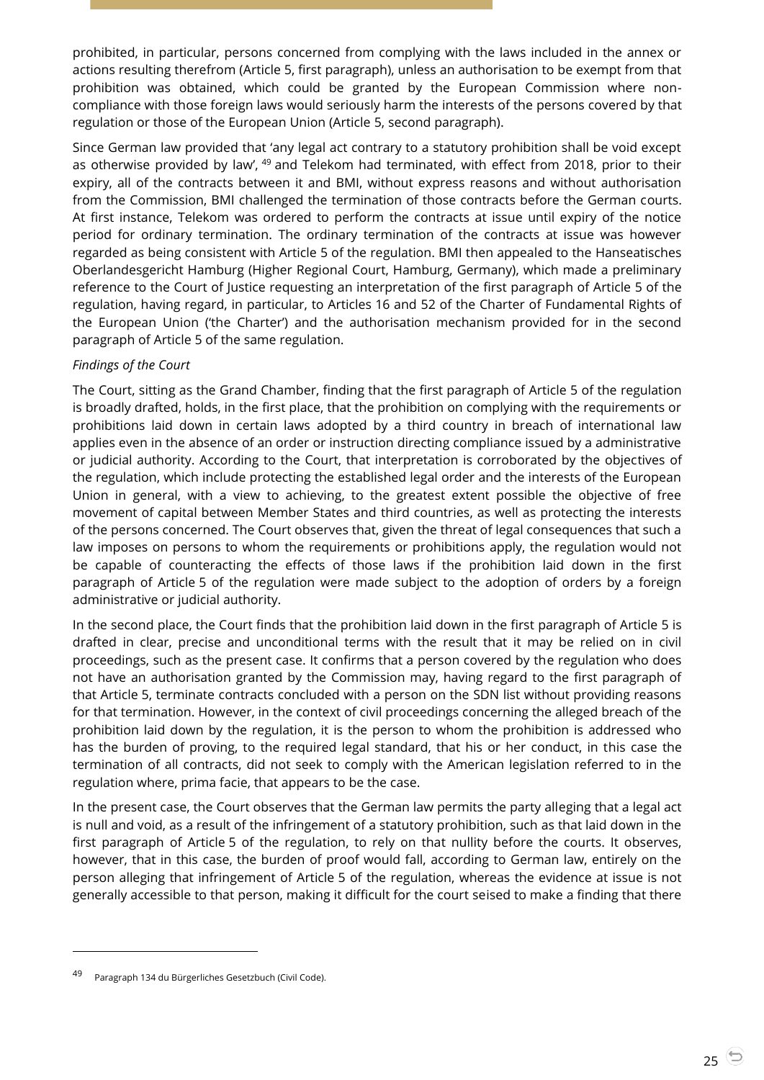prohibited, in particular, persons concerned from complying with the laws included in the annex or actions resulting therefrom (Article 5, first paragraph), unless an authorisation to be exempt from that prohibition was obtained, which could be granted by the European Commission where noncompliance with those foreign laws would seriously harm the interests of the persons covered by that regulation or those of the European Union (Article 5, second paragraph).

Since German law provided that 'any legal act contrary to a statutory prohibition shall be void except as otherwise provided by law', <sup>49</sup> and Telekom had terminated, with effect from 2018, prior to their expiry, all of the contracts between it and BMI, without express reasons and without authorisation from the Commission, BMI challenged the termination of those contracts before the German courts. At first instance, Telekom was ordered to perform the contracts at issue until expiry of the notice period for ordinary termination. The ordinary termination of the contracts at issue was however regarded as being consistent with Article 5 of the regulation. BMI then appealed to the Hanseatisches Oberlandesgericht Hamburg (Higher Regional Court, Hamburg, Germany), which made a preliminary reference to the Court of Justice requesting an interpretation of the first paragraph of Article 5 of the regulation, having regard, in particular, to Articles 16 and 52 of the Charter of Fundamental Rights of the European Union ('the Charter') and the authorisation mechanism provided for in the second paragraph of Article 5 of the same regulation.

## *Findings of the Court*

The Court, sitting as the Grand Chamber, finding that the first paragraph of Article 5 of the regulation is broadly drafted, holds, in the first place, that the prohibition on complying with the requirements or prohibitions laid down in certain laws adopted by a third country in breach of international law applies even in the absence of an order or instruction directing compliance issued by a administrative or judicial authority. According to the Court, that interpretation is corroborated by the objectives of the regulation, which include protecting the established legal order and the interests of the European Union in general, with a view to achieving, to the greatest extent possible the objective of free movement of capital between Member States and third countries, as well as protecting the interests of the persons concerned. The Court observes that, given the threat of legal consequences that such a law imposes on persons to whom the requirements or prohibitions apply, the regulation would not be capable of counteracting the effects of those laws if the prohibition laid down in the first paragraph of Article 5 of the regulation were made subject to the adoption of orders by a foreign administrative or judicial authority.

In the second place, the Court finds that the prohibition laid down in the first paragraph of Article 5 is drafted in clear, precise and unconditional terms with the result that it may be relied on in civil proceedings, such as the present case. It confirms that a person covered by the regulation who does not have an authorisation granted by the Commission may, having regard to the first paragraph of that Article 5, terminate contracts concluded with a person on the SDN list without providing reasons for that termination. However, in the context of civil proceedings concerning the alleged breach of the prohibition laid down by the regulation, it is the person to whom the prohibition is addressed who has the burden of proving, to the required legal standard, that his or her conduct, in this case the termination of all contracts, did not seek to comply with the American legislation referred to in the regulation where, prima facie, that appears to be the case.

In the present case, the Court observes that the German law permits the party alleging that a legal act is null and void, as a result of the infringement of a statutory prohibition, such as that laid down in the first paragraph of Article 5 of the regulation, to rely on that nullity before the courts. It observes, however, that in this case, the burden of proof would fall, according to German law, entirely on the person alleging that infringement of Article 5 of the regulation, whereas the evidence at issue is not generally accessible to that person, making it difficult for the court seised to make a finding that there

Paragraph 134 du Bürgerliches Gesetzbuch (Civil Code).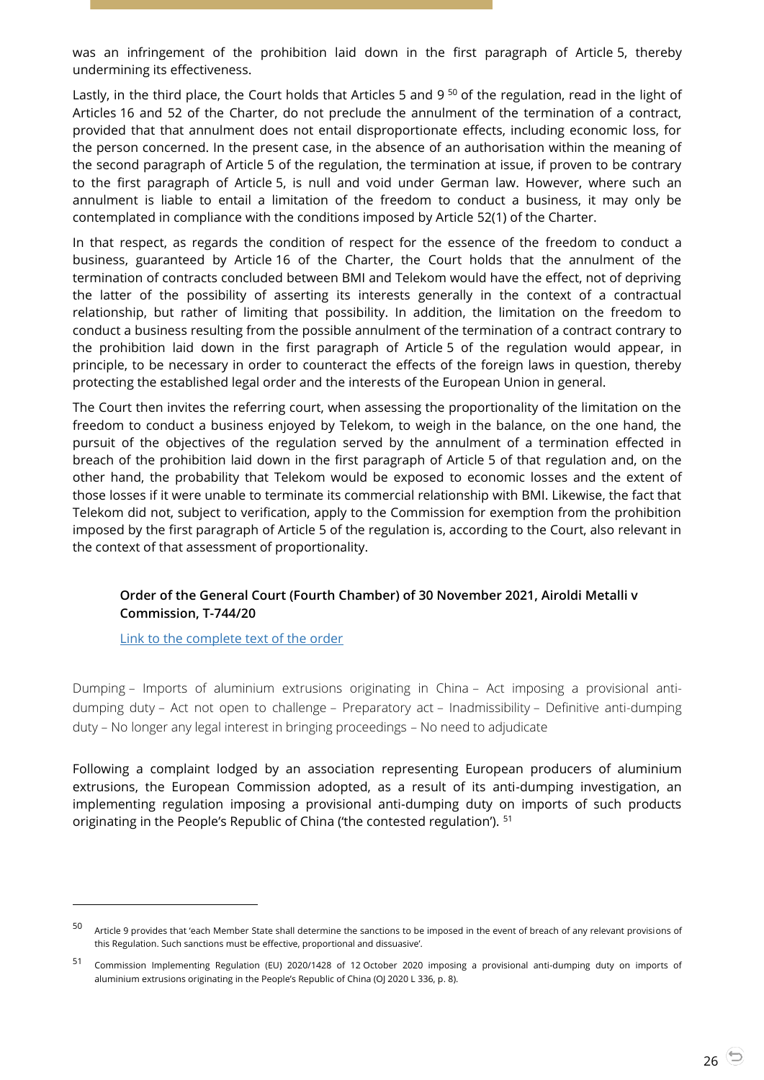was an infringement of the prohibition laid down in the first paragraph of Article 5, thereby undermining its effectiveness.

Lastly, in the third place, the Court holds that Articles 5 and 9<sup>50</sup> of the regulation, read in the light of Articles 16 and 52 of the Charter, do not preclude the annulment of the termination of a contract, provided that that annulment does not entail disproportionate effects, including economic loss, for the person concerned. In the present case, in the absence of an authorisation within the meaning of the second paragraph of Article 5 of the regulation, the termination at issue, if proven to be contrary to the first paragraph of Article 5, is null and void under German law. However, where such an annulment is liable to entail a limitation of the freedom to conduct a business, it may only be contemplated in compliance with the conditions imposed by Article 52(1) of the Charter.

In that respect, as regards the condition of respect for the essence of the freedom to conduct a business, guaranteed by Article 16 of the Charter, the Court holds that the annulment of the termination of contracts concluded between BMI and Telekom would have the effect, not of depriving the latter of the possibility of asserting its interests generally in the context of a contractual relationship, but rather of limiting that possibility. In addition, the limitation on the freedom to conduct a business resulting from the possible annulment of the termination of a contract contrary to the prohibition laid down in the first paragraph of Article 5 of the regulation would appear, in principle, to be necessary in order to counteract the effects of the foreign laws in question, thereby protecting the established legal order and the interests of the European Union in general.

The Court then invites the referring court, when assessing the proportionality of the limitation on the freedom to conduct a business enjoyed by Telekom, to weigh in the balance, on the one hand, the pursuit of the objectives of the regulation served by the annulment of a termination effected in breach of the prohibition laid down in the first paragraph of Article 5 of that regulation and, on the other hand, the probability that Telekom would be exposed to economic losses and the extent of those losses if it were unable to terminate its commercial relationship with BMI. Likewise, the fact that Telekom did not, subject to verification, apply to the Commission for exemption from the prohibition imposed by the first paragraph of Article 5 of the regulation is, according to the Court, also relevant in the context of that assessment of proportionality.

## <span id="page-25-0"></span>**Order of the General Court (Fourth Chamber) of 30 November 2021, Airoldi Metalli v Commission, T-744/20**

[Link to the complete text of the order](https://curia.europa.eu/juris/document/document.jsf?text=&docid=250441&pageIndex=0&doclang=EN&mode=lst&dir=&occ=first&part=1&cid=5247886)

 $\overline{a}$ 

Dumping – Imports of aluminium extrusions originating in China – Act imposing a provisional antidumping duty – Act not open to challenge – Preparatory act – Inadmissibility – Definitive anti-dumping duty – No longer any legal interest in bringing proceedings – No need to adjudicate

Following a complaint lodged by an association representing European producers of aluminium extrusions, the European Commission adopted, as a result of its anti-dumping investigation, an implementing regulation imposing a provisional anti-dumping duty on imports of such products originating in the People's Republic of China ('the contested regulation'). <sup>51</sup>

<sup>50</sup> Article 9 provides that 'each Member State shall determine the sanctions to be imposed in the event of breach of any relevant provisions of this Regulation. Such sanctions must be effective, proportional and dissuasive'.

<sup>51</sup> Commission Implementing Regulation (EU) 2020/1428 of 12 October 2020 imposing a provisional anti-dumping duty on imports of aluminium extrusions originating in the People's Republic of China (OJ 2020 L 336, p. 8).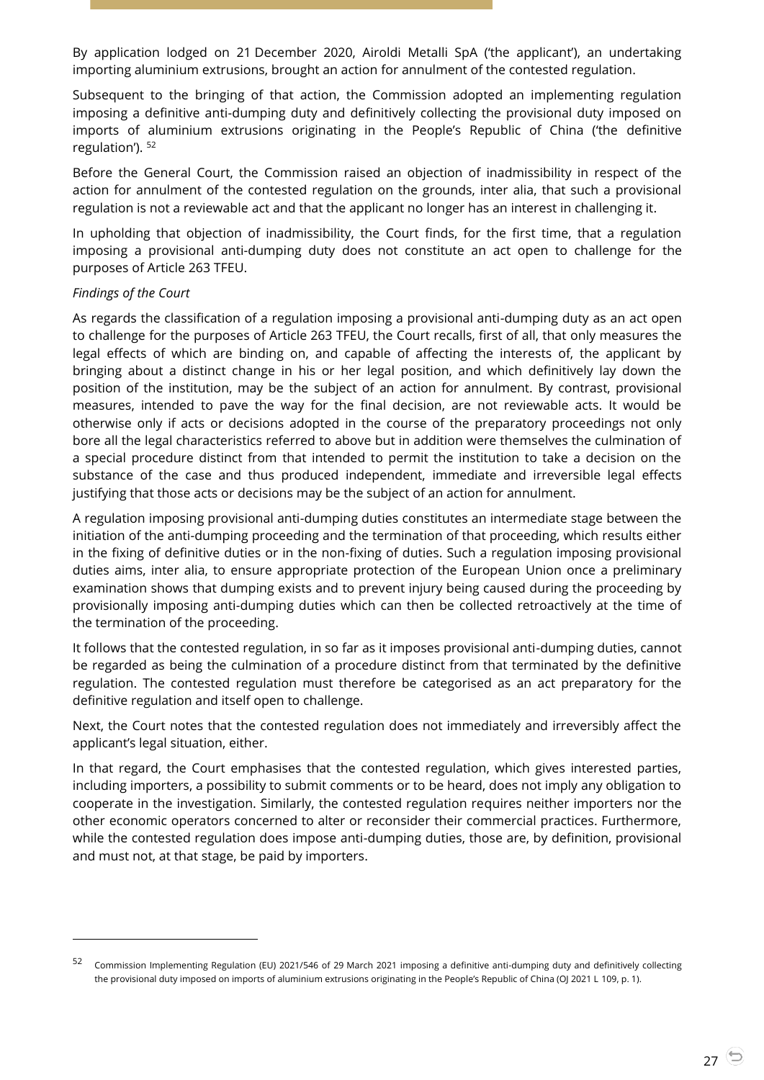By application lodged on 21 December 2020, Airoldi Metalli SpA ('the applicant'), an undertaking importing aluminium extrusions, brought an action for annulment of the contested regulation.

Subsequent to the bringing of that action, the Commission adopted an implementing regulation imposing a definitive anti-dumping duty and definitively collecting the provisional duty imposed on imports of aluminium extrusions originating in the People's Republic of China ('the definitive regulation'). <sup>52</sup>

Before the General Court, the Commission raised an objection of inadmissibility in respect of the action for annulment of the contested regulation on the grounds, inter alia, that such a provisional regulation is not a reviewable act and that the applicant no longer has an interest in challenging it.

In upholding that objection of inadmissibility, the Court finds, for the first time, that a regulation imposing a provisional anti-dumping duty does not constitute an act open to challenge for the purposes of Article 263 TFEU.

#### *Findings of the Court*

-

As regards the classification of a regulation imposing a provisional anti-dumping duty as an act open to challenge for the purposes of Article 263 TFEU, the Court recalls, first of all, that only measures the legal effects of which are binding on, and capable of affecting the interests of, the applicant by bringing about a distinct change in his or her legal position, and which definitively lay down the position of the institution, may be the subject of an action for annulment. By contrast, provisional measures, intended to pave the way for the final decision, are not reviewable acts. It would be otherwise only if acts or decisions adopted in the course of the preparatory proceedings not only bore all the legal characteristics referred to above but in addition were themselves the culmination of a special procedure distinct from that intended to permit the institution to take a decision on the substance of the case and thus produced independent, immediate and irreversible legal effects justifying that those acts or decisions may be the subject of an action for annulment.

A regulation imposing provisional anti-dumping duties constitutes an intermediate stage between the initiation of the anti-dumping proceeding and the termination of that proceeding, which results either in the fixing of definitive duties or in the non-fixing of duties. Such a regulation imposing provisional duties aims, inter alia, to ensure appropriate protection of the European Union once a preliminary examination shows that dumping exists and to prevent injury being caused during the proceeding by provisionally imposing anti-dumping duties which can then be collected retroactively at the time of the termination of the proceeding.

It follows that the contested regulation, in so far as it imposes provisional anti-dumping duties, cannot be regarded as being the culmination of a procedure distinct from that terminated by the definitive regulation. The contested regulation must therefore be categorised as an act preparatory for the definitive regulation and itself open to challenge.

Next, the Court notes that the contested regulation does not immediately and irreversibly affect the applicant's legal situation, either.

In that regard, the Court emphasises that the contested regulation, which gives interested parties, including importers, a possibility to submit comments or to be heard, does not imply any obligation to cooperate in the investigation. Similarly, the contested regulation requires neither importers nor the other economic operators concerned to alter or reconsider their commercial practices. Furthermore, while the contested regulation does impose anti-dumping duties, those are, by definition, provisional and must not, at that stage, be paid by importers.

<sup>52</sup> Commission Implementing Regulation (EU) 2021/546 of 29 March 2021 imposing a definitive anti-dumping duty and definitively collecting the provisional duty imposed on imports of aluminium extrusions originating in the People's Republic of China (OJ 2021 L 109, p. 1).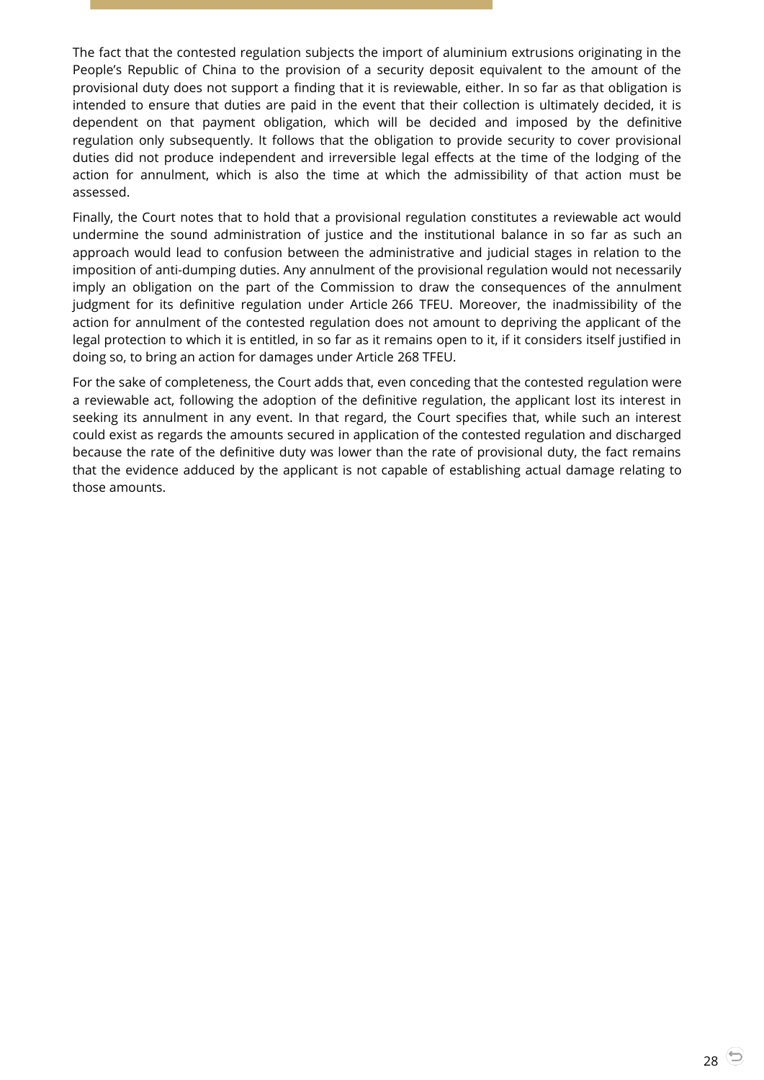The fact that the contested regulation subjects the import of aluminium extrusions originating in the People's Republic of China to the provision of a security deposit equivalent to the amount of the provisional duty does not support a finding that it is reviewable, either. In so far as that obligation is intended to ensure that duties are paid in the event that their collection is ultimately decided, it is dependent on that payment obligation, which will be decided and imposed by the definitive regulation only subsequently. It follows that the obligation to provide security to cover provisional duties did not produce independent and irreversible legal effects at the time of the lodging of the action for annulment, which is also the time at which the admissibility of that action must be assessed.

Finally, the Court notes that to hold that a provisional regulation constitutes a reviewable act would undermine the sound administration of justice and the institutional balance in so far as such an approach would lead to confusion between the administrative and judicial stages in relation to the imposition of anti-dumping duties. Any annulment of the provisional regulation would not necessarily imply an obligation on the part of the Commission to draw the consequences of the annulment judgment for its definitive regulation under Article 266 TFEU. Moreover, the inadmissibility of the action for annulment of the contested regulation does not amount to depriving the applicant of the legal protection to which it is entitled, in so far as it remains open to it, if it considers itself justified in doing so, to bring an action for damages under Article 268 TFEU.

For the sake of completeness, the Court adds that, even conceding that the contested regulation were a reviewable act, following the adoption of the definitive regulation, the applicant lost its interest in seeking its annulment in any event. In that regard, the Court specifies that, while such an interest could exist as regards the amounts secured in application of the contested regulation and discharged because the rate of the definitive duty was lower than the rate of provisional duty, the fact remains that the evidence adduced by the applicant is not capable of establishing actual damage relating to those amounts.